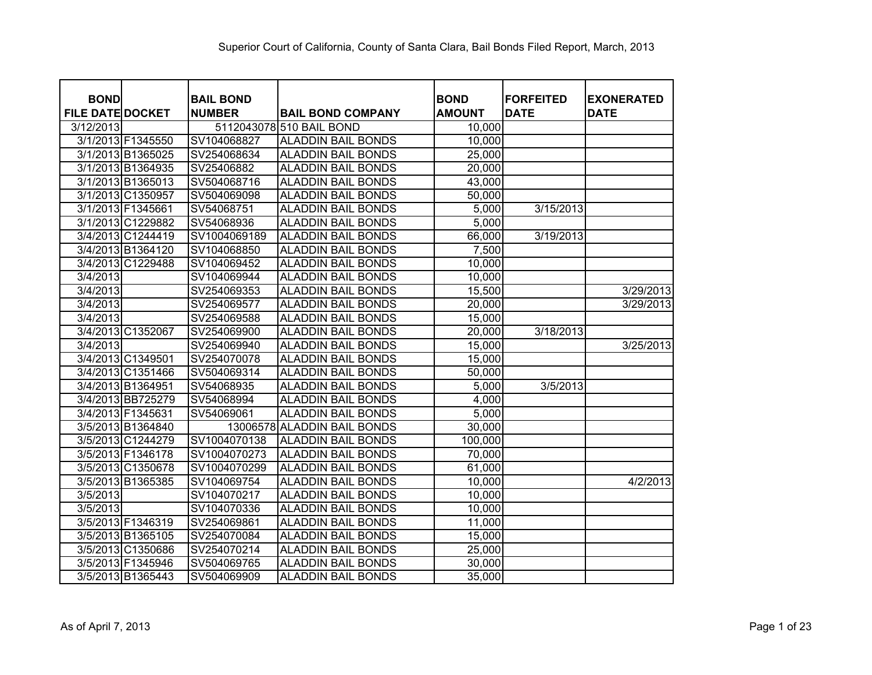| <b>BOND</b>             |                   | <b>BAIL BOND</b> |                             |                              | <b>FORFEITED</b> |                                  |
|-------------------------|-------------------|------------------|-----------------------------|------------------------------|------------------|----------------------------------|
| <b>FILE DATE DOCKET</b> |                   | <b>NUMBER</b>    | <b>BAIL BOND COMPANY</b>    | <b>BOND</b><br><b>AMOUNT</b> | <b>DATE</b>      | <b>EXONERATED</b><br><b>DATE</b> |
| 3/12/2013               |                   |                  | 5112043078 510 BAIL BOND    | 10,000                       |                  |                                  |
|                         | 3/1/2013 F1345550 | SV104068827      | <b>ALADDIN BAIL BONDS</b>   | 10,000                       |                  |                                  |
|                         | 3/1/2013 B1365025 | SV254068634      | <b>ALADDIN BAIL BONDS</b>   | 25,000                       |                  |                                  |
|                         | 3/1/2013 B1364935 | SV25406882       | <b>ALADDIN BAIL BONDS</b>   | 20,000                       |                  |                                  |
|                         | 3/1/2013 B1365013 | SV504068716      | <b>ALADDIN BAIL BONDS</b>   | 43,000                       |                  |                                  |
|                         | 3/1/2013 C1350957 | SV504069098      | <b>ALADDIN BAIL BONDS</b>   | 50,000                       |                  |                                  |
| 3/1/2013 F1345661       |                   | SV54068751       | <b>ALADDIN BAIL BONDS</b>   | 5,000                        | 3/15/2013        |                                  |
|                         | 3/1/2013 C1229882 | SV54068936       | <b>ALADDIN BAIL BONDS</b>   | 5,000                        |                  |                                  |
|                         | 3/4/2013 C1244419 | SV1004069189     | <b>ALADDIN BAIL BONDS</b>   | 66,000                       | 3/19/2013        |                                  |
|                         | 3/4/2013 B1364120 | SV104068850      | <b>ALADDIN BAIL BONDS</b>   | 7,500                        |                  |                                  |
|                         | 3/4/2013 C1229488 | SV104069452      | <b>ALADDIN BAIL BONDS</b>   | 10,000                       |                  |                                  |
| 3/4/2013                |                   | SV104069944      | <b>ALADDIN BAIL BONDS</b>   | 10,000                       |                  |                                  |
| 3/4/2013                |                   | SV254069353      | <b>ALADDIN BAIL BONDS</b>   | 15,500                       |                  | 3/29/2013                        |
| 3/4/2013                |                   | SV254069577      | <b>ALADDIN BAIL BONDS</b>   | 20,000                       |                  | 3/29/2013                        |
| 3/4/2013                |                   | SV254069588      | <b>ALADDIN BAIL BONDS</b>   | 15,000                       |                  |                                  |
|                         | 3/4/2013 C1352067 | SV254069900      | <b>ALADDIN BAIL BONDS</b>   | 20,000                       | 3/18/2013        |                                  |
| 3/4/2013                |                   | SV254069940      | <b>ALADDIN BAIL BONDS</b>   | 15,000                       |                  | 3/25/2013                        |
|                         | 3/4/2013 C1349501 | SV254070078      | <b>ALADDIN BAIL BONDS</b>   | 15,000                       |                  |                                  |
|                         | 3/4/2013 C1351466 | SV504069314      | <b>ALADDIN BAIL BONDS</b>   | 50,000                       |                  |                                  |
| 3/4/2013 B1364951       |                   | SV54068935       | <b>ALADDIN BAIL BONDS</b>   | 5,000                        | 3/5/2013         |                                  |
|                         | 3/4/2013 BB725279 | SV54068994       | <b>ALADDIN BAIL BONDS</b>   | 4,000                        |                  |                                  |
| 3/4/2013 F1345631       |                   | SV54069061       | <b>ALADDIN BAIL BONDS</b>   | 5,000                        |                  |                                  |
|                         | 3/5/2013 B1364840 |                  | 13006578 ALADDIN BAIL BONDS | 30,000                       |                  |                                  |
|                         | 3/5/2013 C1244279 | SV1004070138     | <b>ALADDIN BAIL BONDS</b>   | 100,000                      |                  |                                  |
|                         | 3/5/2013 F1346178 | SV1004070273     | <b>ALADDIN BAIL BONDS</b>   | 70,000                       |                  |                                  |
|                         | 3/5/2013 C1350678 | SV1004070299     | <b>ALADDIN BAIL BONDS</b>   | 61,000                       |                  |                                  |
|                         | 3/5/2013 B1365385 | SV104069754      | <b>ALADDIN BAIL BONDS</b>   | 10,000                       |                  | 4/2/2013                         |
| 3/5/2013                |                   | SV104070217      | <b>ALADDIN BAIL BONDS</b>   | 10,000                       |                  |                                  |
| 3/5/2013                |                   | SV104070336      | <b>ALADDIN BAIL BONDS</b>   | 10,000                       |                  |                                  |
|                         | 3/5/2013 F1346319 | SV254069861      | <b>ALADDIN BAIL BONDS</b>   | 11,000                       |                  |                                  |
|                         | 3/5/2013 B1365105 | SV254070084      | <b>ALADDIN BAIL BONDS</b>   | 15,000                       |                  |                                  |
|                         | 3/5/2013 C1350686 | SV254070214      | <b>ALADDIN BAIL BONDS</b>   | 25,000                       |                  |                                  |
|                         | 3/5/2013 F1345946 | SV504069765      | <b>ALADDIN BAIL BONDS</b>   | 30,000                       |                  |                                  |
|                         | 3/5/2013 B1365443 | SV504069909      | <b>ALADDIN BAIL BONDS</b>   | 35,000                       |                  |                                  |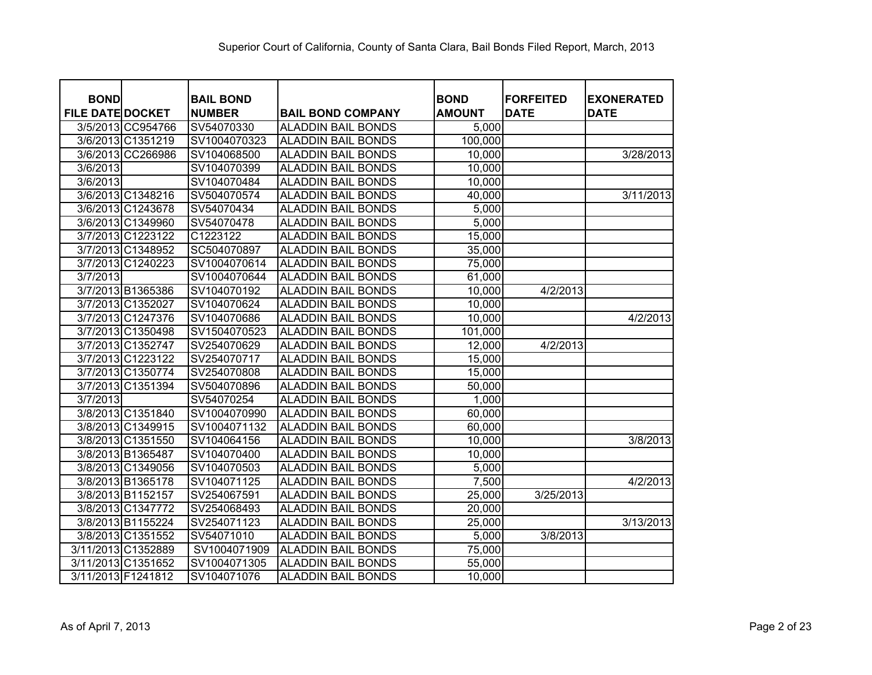| <b>BOND</b>             |                   | <b>BAIL BOND</b> |                           | <b>BOND</b>   | <b>FORFEITED</b> | <b>EXONERATED</b> |
|-------------------------|-------------------|------------------|---------------------------|---------------|------------------|-------------------|
| <b>FILE DATE DOCKET</b> |                   | <b>NUMBER</b>    | <b>BAIL BOND COMPANY</b>  | <b>AMOUNT</b> | <b>DATE</b>      | <b>DATE</b>       |
|                         | 3/5/2013 CC954766 | SV54070330       | <b>ALADDIN BAIL BONDS</b> | 5,000         |                  |                   |
|                         | 3/6/2013 C1351219 | SV1004070323     | <b>ALADDIN BAIL BONDS</b> | 100,000       |                  |                   |
|                         | 3/6/2013 CC266986 | SV104068500      | <b>ALADDIN BAIL BONDS</b> | 10,000        |                  | 3/28/2013         |
| 3/6/2013                |                   | SV104070399      | <b>ALADDIN BAIL BONDS</b> | 10,000        |                  |                   |
| 3/6/2013                |                   | SV104070484      | <b>ALADDIN BAIL BONDS</b> | 10,000        |                  |                   |
|                         | 3/6/2013 C1348216 | SV504070574      | <b>ALADDIN BAIL BONDS</b> | 40,000        |                  | 3/11/2013         |
|                         | 3/6/2013 C1243678 | SV54070434       | <b>ALADDIN BAIL BONDS</b> | 5,000         |                  |                   |
|                         | 3/6/2013 C1349960 | SV54070478       | <b>ALADDIN BAIL BONDS</b> | 5,000         |                  |                   |
|                         | 3/7/2013 C1223122 | C1223122         | <b>ALADDIN BAIL BONDS</b> | 15,000        |                  |                   |
|                         | 3/7/2013 C1348952 | SC504070897      | <b>ALADDIN BAIL BONDS</b> | 35,000        |                  |                   |
|                         | 3/7/2013 C1240223 | SV1004070614     | <b>ALADDIN BAIL BONDS</b> | 75,000        |                  |                   |
| 3/7/2013                |                   | SV1004070644     | <b>ALADDIN BAIL BONDS</b> | 61,000        |                  |                   |
|                         | 3/7/2013 B1365386 | SV104070192      | <b>ALADDIN BAIL BONDS</b> | 10,000        | 4/2/2013         |                   |
|                         | 3/7/2013 C1352027 | SV104070624      | <b>ALADDIN BAIL BONDS</b> | 10,000        |                  |                   |
|                         | 3/7/2013 C1247376 | SV104070686      | <b>ALADDIN BAIL BONDS</b> | 10,000        |                  | 4/2/2013          |
|                         | 3/7/2013 C1350498 | SV1504070523     | <b>ALADDIN BAIL BONDS</b> | 101,000       |                  |                   |
|                         | 3/7/2013 C1352747 | SV254070629      | <b>ALADDIN BAIL BONDS</b> | 12,000        | 4/2/2013         |                   |
|                         | 3/7/2013 C1223122 | SV254070717      | <b>ALADDIN BAIL BONDS</b> | 15,000        |                  |                   |
|                         | 3/7/2013 C1350774 | SV254070808      | <b>ALADDIN BAIL BONDS</b> | 15,000        |                  |                   |
|                         | 3/7/2013 C1351394 | SV504070896      | <b>ALADDIN BAIL BONDS</b> | 50,000        |                  |                   |
| 3/7/2013                |                   | SV54070254       | <b>ALADDIN BAIL BONDS</b> | 1,000         |                  |                   |
|                         | 3/8/2013 C1351840 | SV1004070990     | <b>ALADDIN BAIL BONDS</b> | 60,000        |                  |                   |
|                         | 3/8/2013 C1349915 | SV1004071132     | <b>ALADDIN BAIL BONDS</b> | 60,000        |                  |                   |
|                         | 3/8/2013 C1351550 | SV104064156      | <b>ALADDIN BAIL BONDS</b> | 10,000        |                  | 3/8/2013          |
|                         | 3/8/2013 B1365487 | SV104070400      | <b>ALADDIN BAIL BONDS</b> | 10,000        |                  |                   |
|                         | 3/8/2013 C1349056 | SV104070503      | <b>ALADDIN BAIL BONDS</b> | 5,000         |                  |                   |
|                         | 3/8/2013 B1365178 | SV104071125      | <b>ALADDIN BAIL BONDS</b> | 7,500         |                  | 4/2/2013          |
|                         | 3/8/2013 B1152157 | SV254067591      | <b>ALADDIN BAIL BONDS</b> | 25,000        | 3/25/2013        |                   |
|                         | 3/8/2013 C1347772 | SV254068493      | <b>ALADDIN BAIL BONDS</b> | 20,000        |                  |                   |
|                         | 3/8/2013 B1155224 | SV254071123      | <b>ALADDIN BAIL BONDS</b> | 25,000        |                  | 3/13/2013         |
|                         | 3/8/2013 C1351552 | SV54071010       | <b>ALADDIN BAIL BONDS</b> | 5,000         | 3/8/2013         |                   |
| 3/11/2013 C1352889      |                   | SV1004071909     | <b>ALADDIN BAIL BONDS</b> | 75,000        |                  |                   |
| 3/11/2013 C1351652      |                   | SV1004071305     | <b>ALADDIN BAIL BONDS</b> | 55,000        |                  |                   |
| 3/11/2013 F1241812      |                   | SV104071076      | <b>ALADDIN BAIL BONDS</b> | 10,000        |                  |                   |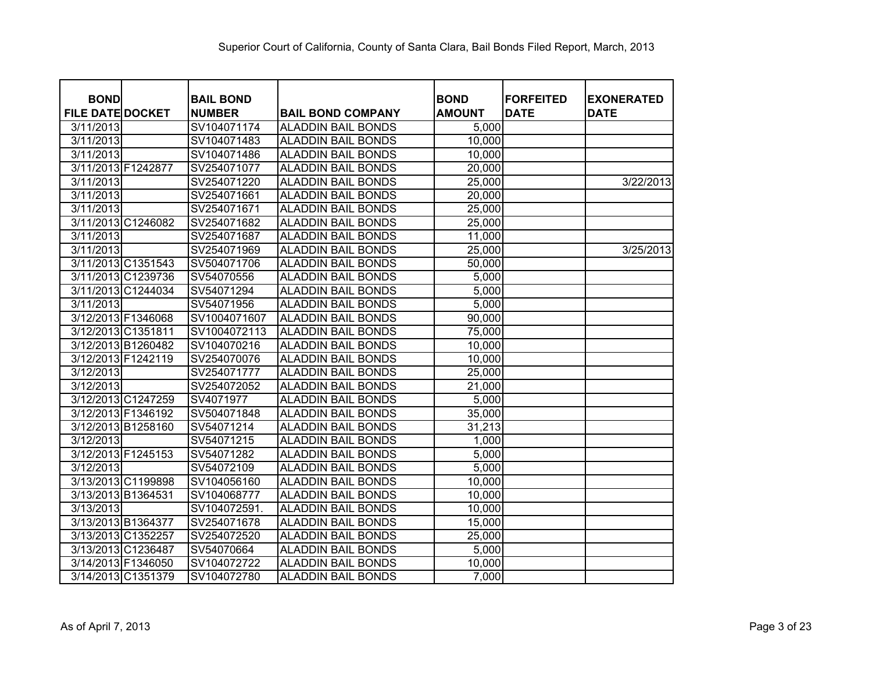| <b>BOND</b><br><b>FILE DATE DOCKET</b> | <b>BAIL BOND</b><br><b>NUMBER</b> |                                                       | <b>BOND</b><br><b>AMOUNT</b> | <b>FORFEITED</b><br><b>DATE</b> | <b>EXONERATED</b><br><b>DATE</b> |
|----------------------------------------|-----------------------------------|-------------------------------------------------------|------------------------------|---------------------------------|----------------------------------|
| 3/11/2013                              | SV104071174                       | <b>BAIL BOND COMPANY</b><br><b>ALADDIN BAIL BONDS</b> |                              |                                 |                                  |
| 3/11/2013                              | SV104071483                       | <b>ALADDIN BAIL BONDS</b>                             | 5,000<br>10,000              |                                 |                                  |
| 3/11/2013                              | SV104071486                       | <b>ALADDIN BAIL BONDS</b>                             | 10,000                       |                                 |                                  |
| 3/11/2013 F1242877                     | SV254071077                       | <b>ALADDIN BAIL BONDS</b>                             | 20,000                       |                                 |                                  |
| 3/11/2013                              | SV254071220                       | <b>ALADDIN BAIL BONDS</b>                             | 25,000                       |                                 | 3/22/2013                        |
| 3/11/2013                              | SV254071661                       | <b>ALADDIN BAIL BONDS</b>                             | 20,000                       |                                 |                                  |
| 3/11/2013                              | SV254071671                       | <b>ALADDIN BAIL BONDS</b>                             | 25,000                       |                                 |                                  |
| 3/11/2013 C1246082                     | SV254071682                       | <b>ALADDIN BAIL BONDS</b>                             | 25,000                       |                                 |                                  |
| 3/11/2013                              | SV254071687                       | <b>ALADDIN BAIL BONDS</b>                             | 11,000                       |                                 |                                  |
| 3/11/2013                              | SV254071969                       | <b>ALADDIN BAIL BONDS</b>                             | 25,000                       |                                 | 3/25/2013                        |
| 3/11/2013 C1351543                     | SV504071706                       | <b>ALADDIN BAIL BONDS</b>                             | 50,000                       |                                 |                                  |
| 3/11/2013 C1239736                     | SV54070556                        | <b>ALADDIN BAIL BONDS</b>                             | 5,000                        |                                 |                                  |
| 3/11/2013 C1244034                     | SV54071294                        | <b>ALADDIN BAIL BONDS</b>                             | 5,000                        |                                 |                                  |
| 3/11/2013                              | SV54071956                        | <b>ALADDIN BAIL BONDS</b>                             | 5,000                        |                                 |                                  |
| 3/12/2013 F1346068                     | SV1004071607                      | <b>ALADDIN BAIL BONDS</b>                             | 90,000                       |                                 |                                  |
| 3/12/2013 C1351811                     | SV1004072113                      | <b>ALADDIN BAIL BONDS</b>                             | 75,000                       |                                 |                                  |
| 3/12/2013 B1260482                     | SV104070216                       | <b>ALADDIN BAIL BONDS</b>                             | 10,000                       |                                 |                                  |
| 3/12/2013 F1242119                     | SV254070076                       | <b>ALADDIN BAIL BONDS</b>                             | 10,000                       |                                 |                                  |
| 3/12/2013                              | SV254071777                       | <b>ALADDIN BAIL BONDS</b>                             | 25,000                       |                                 |                                  |
| 3/12/2013                              | SV254072052                       | <b>ALADDIN BAIL BONDS</b>                             | 21,000                       |                                 |                                  |
| 3/12/2013 C1247259                     | SV4071977                         | <b>ALADDIN BAIL BONDS</b>                             | 5,000                        |                                 |                                  |
| 3/12/2013 F1346192                     | SV504071848                       | <b>ALADDIN BAIL BONDS</b>                             | 35,000                       |                                 |                                  |
| 3/12/2013 B1258160                     | SV54071214                        | <b>ALADDIN BAIL BONDS</b>                             | 31,213                       |                                 |                                  |
| 3/12/2013                              | SV54071215                        | <b>ALADDIN BAIL BONDS</b>                             | 1,000                        |                                 |                                  |
| 3/12/2013 F1245153                     | SV54071282                        | <b>ALADDIN BAIL BONDS</b>                             | 5,000                        |                                 |                                  |
| 3/12/2013                              | SV54072109                        | <b>ALADDIN BAIL BONDS</b>                             | 5,000                        |                                 |                                  |
| 3/13/2013 C1199898                     | SV104056160                       | <b>ALADDIN BAIL BONDS</b>                             | 10,000                       |                                 |                                  |
| 3/13/2013 B1364531                     | SV104068777                       | <b>ALADDIN BAIL BONDS</b>                             | 10,000                       |                                 |                                  |
| 3/13/2013                              | SV104072591.                      | <b>ALADDIN BAIL BONDS</b>                             | 10,000                       |                                 |                                  |
| 3/13/2013 B1364377                     | SV254071678                       | <b>ALADDIN BAIL BONDS</b>                             | 15,000                       |                                 |                                  |
| 3/13/2013 C1352257                     | SV254072520                       | <b>ALADDIN BAIL BONDS</b>                             | 25,000                       |                                 |                                  |
| 3/13/2013 C1236487                     | SV54070664                        | <b>ALADDIN BAIL BONDS</b>                             | 5,000                        |                                 |                                  |
| 3/14/2013 F1346050                     | SV104072722                       | <b>ALADDIN BAIL BONDS</b>                             | 10,000                       |                                 |                                  |
| 3/14/2013 C1351379                     | SV104072780                       | <b>ALADDIN BAIL BONDS</b>                             | 7,000                        |                                 |                                  |
|                                        |                                   |                                                       |                              |                                 |                                  |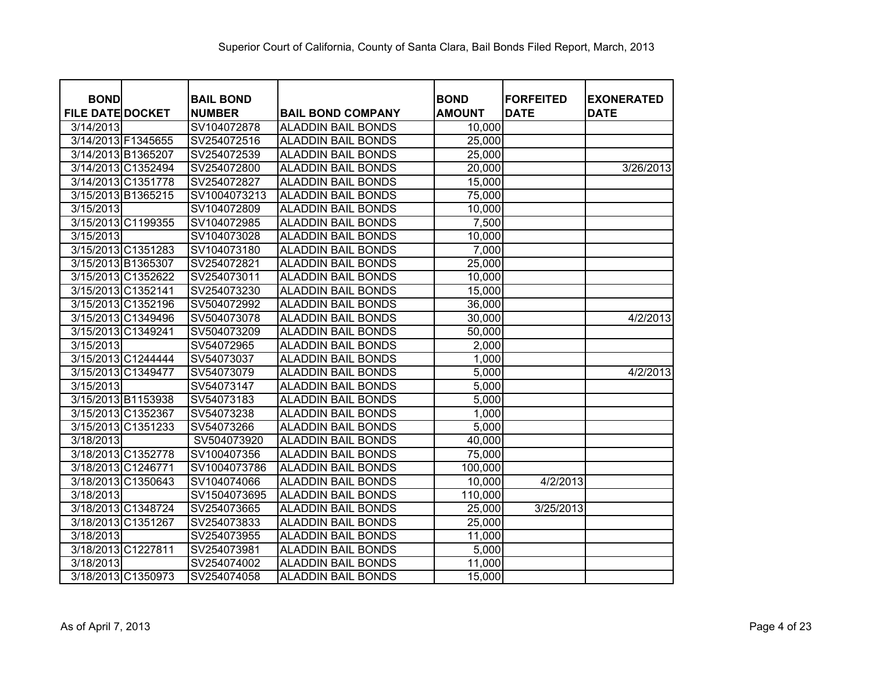| <b>BOND</b>             |                    | <b>BAIL BOND</b> |                           | <b>BOND</b>   | <b>FORFEITED</b> | <b>EXONERATED</b> |
|-------------------------|--------------------|------------------|---------------------------|---------------|------------------|-------------------|
| <b>FILE DATE DOCKET</b> |                    | <b>NUMBER</b>    | <b>BAIL BOND COMPANY</b>  | <b>AMOUNT</b> | <b>DATE</b>      | <b>DATE</b>       |
| 3/14/2013               |                    | SV104072878      | <b>ALADDIN BAIL BONDS</b> | 10,000        |                  |                   |
|                         | 3/14/2013 F1345655 | SV254072516      | <b>ALADDIN BAIL BONDS</b> | 25,000        |                  |                   |
|                         | 3/14/2013 B1365207 | SV254072539      | <b>ALADDIN BAIL BONDS</b> | 25,000        |                  |                   |
|                         | 3/14/2013 C1352494 | SV254072800      | <b>ALADDIN BAIL BONDS</b> | 20,000        |                  | 3/26/2013         |
|                         | 3/14/2013 C1351778 | SV254072827      | <b>ALADDIN BAIL BONDS</b> | 15,000        |                  |                   |
|                         | 3/15/2013 B1365215 | SV1004073213     | <b>ALADDIN BAIL BONDS</b> | 75,000        |                  |                   |
| 3/15/2013               |                    | SV104072809      | <b>ALADDIN BAIL BONDS</b> | 10,000        |                  |                   |
|                         | 3/15/2013 C1199355 | SV104072985      | <b>ALADDIN BAIL BONDS</b> | 7,500         |                  |                   |
| 3/15/2013               |                    | SV104073028      | <b>ALADDIN BAIL BONDS</b> | 10,000        |                  |                   |
|                         | 3/15/2013 C1351283 | SV104073180      | <b>ALADDIN BAIL BONDS</b> | 7,000         |                  |                   |
|                         | 3/15/2013 B1365307 | SV254072821      | <b>ALADDIN BAIL BONDS</b> | 25,000        |                  |                   |
|                         | 3/15/2013 C1352622 | SV254073011      | <b>ALADDIN BAIL BONDS</b> | 10,000        |                  |                   |
|                         | 3/15/2013 C1352141 | SV254073230      | <b>ALADDIN BAIL BONDS</b> | 15,000        |                  |                   |
|                         | 3/15/2013 C1352196 | SV504072992      | <b>ALADDIN BAIL BONDS</b> | 36,000        |                  |                   |
|                         | 3/15/2013 C1349496 | SV504073078      | <b>ALADDIN BAIL BONDS</b> | 30,000        |                  | 4/2/2013          |
|                         | 3/15/2013 C1349241 | SV504073209      | ALADDIN BAIL BONDS        | 50,000        |                  |                   |
| 3/15/2013               |                    | SV54072965       | <b>ALADDIN BAIL BONDS</b> | 2,000         |                  |                   |
|                         | 3/15/2013 C1244444 | SV54073037       | <b>ALADDIN BAIL BONDS</b> | 1,000         |                  |                   |
|                         | 3/15/2013 C1349477 | SV54073079       | <b>ALADDIN BAIL BONDS</b> | 5,000         |                  | 4/2/2013          |
| 3/15/2013               |                    | SV54073147       | <b>ALADDIN BAIL BONDS</b> | 5,000         |                  |                   |
|                         | 3/15/2013 B1153938 | SV54073183       | <b>ALADDIN BAIL BONDS</b> | 5,000         |                  |                   |
|                         | 3/15/2013 C1352367 | SV54073238       | <b>ALADDIN BAIL BONDS</b> | 1,000         |                  |                   |
|                         | 3/15/2013 C1351233 | SV54073266       | <b>ALADDIN BAIL BONDS</b> | 5,000         |                  |                   |
| 3/18/2013               |                    | SV504073920      | <b>ALADDIN BAIL BONDS</b> | 40,000        |                  |                   |
|                         | 3/18/2013 C1352778 | SV100407356      | <b>ALADDIN BAIL BONDS</b> | 75,000        |                  |                   |
|                         | 3/18/2013 C1246771 | SV1004073786     | <b>ALADDIN BAIL BONDS</b> | 100,000       |                  |                   |
|                         | 3/18/2013 C1350643 | SV104074066      | <b>ALADDIN BAIL BONDS</b> | 10,000        | 4/2/2013         |                   |
| 3/18/2013               |                    | SV1504073695     | <b>ALADDIN BAIL BONDS</b> | 110,000       |                  |                   |
|                         | 3/18/2013 C1348724 | SV254073665      | <b>ALADDIN BAIL BONDS</b> | 25,000        | 3/25/2013        |                   |
|                         | 3/18/2013 C1351267 | SV254073833      | <b>ALADDIN BAIL BONDS</b> | 25,000        |                  |                   |
| 3/18/2013               |                    | SV254073955      | <b>ALADDIN BAIL BONDS</b> | 11,000        |                  |                   |
|                         | 3/18/2013 C1227811 | SV254073981      | <b>ALADDIN BAIL BONDS</b> | 5,000         |                  |                   |
| 3/18/2013               |                    | SV254074002      | <b>ALADDIN BAIL BONDS</b> | 11,000        |                  |                   |
|                         | 3/18/2013 C1350973 | SV254074058      | <b>ALADDIN BAIL BONDS</b> | 15,000        |                  |                   |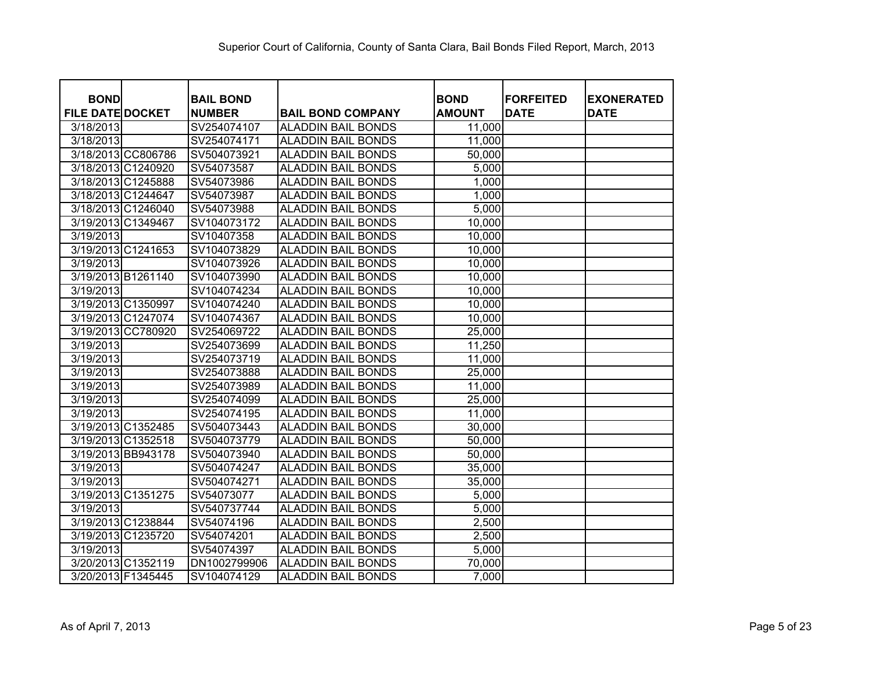| <b>BOND</b>             |                    | <b>BAIL BOND</b> |                           | <b>BOND</b>   | <b>FORFEITED</b> | <b>EXONERATED</b> |
|-------------------------|--------------------|------------------|---------------------------|---------------|------------------|-------------------|
| <b>FILE DATE DOCKET</b> |                    | <b>NUMBER</b>    | <b>BAIL BOND COMPANY</b>  | <b>AMOUNT</b> | <b>DATE</b>      | <b>DATE</b>       |
| 3/18/2013               |                    | SV254074107      | ALADDIN BAIL BONDS        | 11,000        |                  |                   |
| 3/18/2013               |                    | SV254074171      | ALADDIN BAIL BONDS        | 11,000        |                  |                   |
|                         | 3/18/2013 CC806786 | SV504073921      | ALADDIN BAIL BONDS        | 50,000        |                  |                   |
|                         | 3/18/2013 C1240920 | SV54073587       | <b>ALADDIN BAIL BONDS</b> | 5,000         |                  |                   |
|                         | 3/18/2013 C1245888 | SV54073986       | <b>ALADDIN BAIL BONDS</b> | 1,000         |                  |                   |
|                         | 3/18/2013 C1244647 | SV54073987       | <b>ALADDIN BAIL BONDS</b> | 1,000         |                  |                   |
|                         | 3/18/2013 C1246040 | SV54073988       | <b>ALADDIN BAIL BONDS</b> | 5,000         |                  |                   |
|                         | 3/19/2013 C1349467 | SV104073172      | <b>ALADDIN BAIL BONDS</b> | 10,000        |                  |                   |
| 3/19/2013               |                    | SV10407358       | <b>ALADDIN BAIL BONDS</b> | 10,000        |                  |                   |
|                         | 3/19/2013 C1241653 | SV104073829      | <b>ALADDIN BAIL BONDS</b> | 10,000        |                  |                   |
| 3/19/2013               |                    | SV104073926      | <b>ALADDIN BAIL BONDS</b> | 10,000        |                  |                   |
|                         | 3/19/2013 B1261140 | SV104073990      | <b>ALADDIN BAIL BONDS</b> | 10,000        |                  |                   |
| 3/19/2013               |                    | SV104074234      | <b>ALADDIN BAIL BONDS</b> | 10,000        |                  |                   |
|                         | 3/19/2013 C1350997 | SV104074240      | <b>ALADDIN BAIL BONDS</b> | 10,000        |                  |                   |
|                         | 3/19/2013 C1247074 | SV104074367      | <b>ALADDIN BAIL BONDS</b> | 10,000        |                  |                   |
|                         | 3/19/2013 CC780920 | SV254069722      | <b>ALADDIN BAIL BONDS</b> | 25,000        |                  |                   |
| 3/19/2013               |                    | SV254073699      | <b>ALADDIN BAIL BONDS</b> | 11,250        |                  |                   |
| 3/19/2013               |                    | SV254073719      | <b>ALADDIN BAIL BONDS</b> | 11,000        |                  |                   |
| 3/19/2013               |                    | SV254073888      | <b>ALADDIN BAIL BONDS</b> | 25,000        |                  |                   |
| 3/19/2013               |                    | SV254073989      | <b>ALADDIN BAIL BONDS</b> | 11,000        |                  |                   |
| 3/19/2013               |                    | SV254074099      | <b>ALADDIN BAIL BONDS</b> | 25,000        |                  |                   |
| 3/19/2013               |                    | SV254074195      | ALADDIN BAIL BONDS        | 11,000        |                  |                   |
|                         | 3/19/2013 C1352485 | SV504073443      | ALADDIN BAIL BONDS        | 30,000        |                  |                   |
|                         | 3/19/2013 C1352518 | SV504073779      | ALADDIN BAIL BONDS        | 50,000        |                  |                   |
|                         | 3/19/2013 BB943178 | SV504073940      | <b>ALADDIN BAIL BONDS</b> | 50,000        |                  |                   |
| 3/19/2013               |                    | SV504074247      | ALADDIN BAIL BONDS        | 35,000        |                  |                   |
| 3/19/2013               |                    | SV504074271      | <b>ALADDIN BAIL BONDS</b> | 35,000        |                  |                   |
|                         | 3/19/2013 C1351275 | SV54073077       | ALADDIN BAIL BONDS        | 5,000         |                  |                   |
| 3/19/2013               |                    | SV540737744      | <b>ALADDIN BAIL BONDS</b> | 5,000         |                  |                   |
|                         | 3/19/2013 C1238844 | SV54074196       | <b>ALADDIN BAIL BONDS</b> | 2,500         |                  |                   |
|                         | 3/19/2013 C1235720 | SV54074201       | <b>ALADDIN BAIL BONDS</b> | 2,500         |                  |                   |
| 3/19/2013               |                    | SV54074397       | <b>ALADDIN BAIL BONDS</b> | 5,000         |                  |                   |
|                         | 3/20/2013 C1352119 | DN1002799906     | <b>ALADDIN BAIL BONDS</b> | 70,000        |                  |                   |
| 3/20/2013 F1345445      |                    | SV104074129      | <b>ALADDIN BAIL BONDS</b> | 7,000         |                  |                   |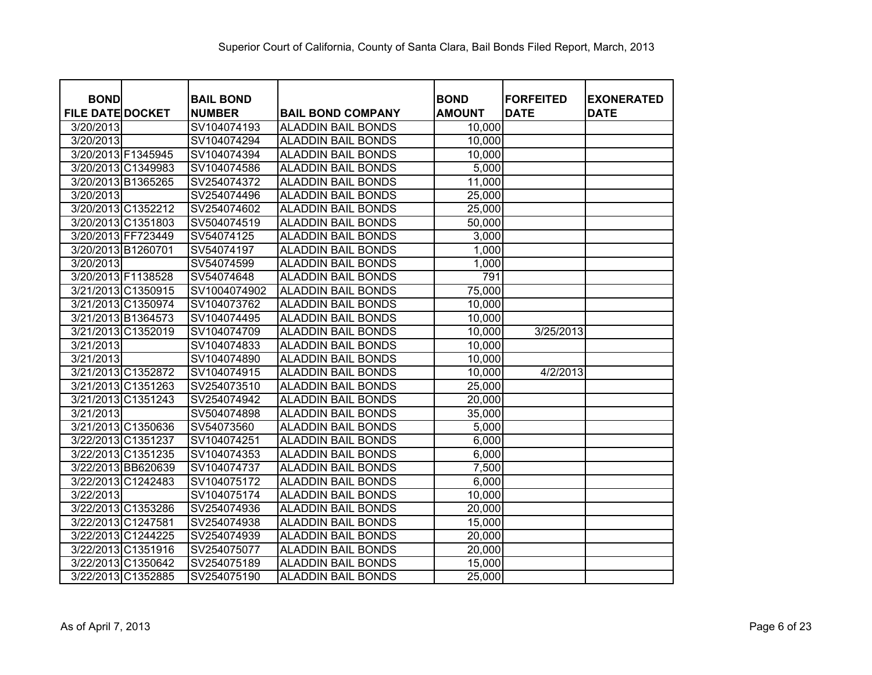| <b>BOND</b>             |                    | <b>BAIL BOND</b> |                           | <b>BOND</b>   | <b>FORFEITED</b>      | <b>EXONERATED</b> |
|-------------------------|--------------------|------------------|---------------------------|---------------|-----------------------|-------------------|
| <b>FILE DATE DOCKET</b> |                    | <b>NUMBER</b>    | <b>BAIL BOND COMPANY</b>  | <b>AMOUNT</b> | <b>DATE</b>           | <b>DATE</b>       |
| 3/20/2013               |                    | SV104074193      | ALADDIN BAIL BONDS        | 10,000        |                       |                   |
| 3/20/2013               |                    | SV104074294      | ALADDIN BAIL BONDS        | 10,000        |                       |                   |
|                         | 3/20/2013 F1345945 | SV104074394      | ALADDIN BAIL BONDS        | 10,000        |                       |                   |
|                         | 3/20/2013 C1349983 | SV104074586      | <b>ALADDIN BAIL BONDS</b> | 5,000         |                       |                   |
|                         | 3/20/2013 B1365265 | SV254074372      | <b>ALADDIN BAIL BONDS</b> | 11,000        |                       |                   |
| 3/20/2013               |                    | SV254074496      | <b>ALADDIN BAIL BONDS</b> | 25,000        |                       |                   |
|                         | 3/20/2013 C1352212 | SV254074602      | <b>ALADDIN BAIL BONDS</b> | 25,000        |                       |                   |
|                         | 3/20/2013 C1351803 | SV504074519      | <b>ALADDIN BAIL BONDS</b> | 50,000        |                       |                   |
|                         | 3/20/2013 FF723449 | SV54074125       | <b>ALADDIN BAIL BONDS</b> | 3,000         |                       |                   |
| 3/20/2013 B1260701      |                    | SV54074197       | <b>ALADDIN BAIL BONDS</b> | 1,000         |                       |                   |
| 3/20/2013               |                    | SV54074599       | <b>ALADDIN BAIL BONDS</b> | 1,000         |                       |                   |
| 3/20/2013 F1138528      |                    | SV54074648       | <b>ALADDIN BAIL BONDS</b> | 791           |                       |                   |
|                         | 3/21/2013 C1350915 | SV1004074902     | <b>ALADDIN BAIL BONDS</b> | 75,000        |                       |                   |
|                         | 3/21/2013 C1350974 | SV104073762      | <b>ALADDIN BAIL BONDS</b> | 10,000        |                       |                   |
|                         | 3/21/2013 B1364573 | SV104074495      | <b>ALADDIN BAIL BONDS</b> | 10,000        |                       |                   |
|                         | 3/21/2013 C1352019 | SV104074709      | <b>ALADDIN BAIL BONDS</b> | 10,000        | 3/25/2013             |                   |
| 3/21/2013               |                    | SV104074833      | <b>ALADDIN BAIL BONDS</b> | 10,000        |                       |                   |
| 3/21/2013               |                    | SV104074890      | <b>ALADDIN BAIL BONDS</b> | 10,000        |                       |                   |
|                         | 3/21/2013 C1352872 | SV104074915      | <b>ALADDIN BAIL BONDS</b> | 10,000        | $\frac{4}{2}$ /2/2013 |                   |
|                         | 3/21/2013 C1351263 | SV254073510      | <b>ALADDIN BAIL BONDS</b> | 25,000        |                       |                   |
|                         | 3/21/2013 C1351243 | SV254074942      | <b>ALADDIN BAIL BONDS</b> | 20,000        |                       |                   |
| 3/21/2013               |                    | SV504074898      | ALADDIN BAIL BONDS        | 35,000        |                       |                   |
|                         | 3/21/2013 C1350636 | SV54073560       | ALADDIN BAIL BONDS        | 5,000         |                       |                   |
|                         | 3/22/2013 C1351237 | SV104074251      | ALADDIN BAIL BONDS        | 6,000         |                       |                   |
|                         | 3/22/2013 C1351235 | SV104074353      | <b>ALADDIN BAIL BONDS</b> | 6,000         |                       |                   |
|                         | 3/22/2013 BB620639 | SV104074737      | ALADDIN BAIL BONDS        | 7,500         |                       |                   |
|                         | 3/22/2013 C1242483 | SV104075172      | <b>ALADDIN BAIL BONDS</b> | 6,000         |                       |                   |
| 3/22/2013               |                    | SV104075174      | ALADDIN BAIL BONDS        | 10,000        |                       |                   |
|                         | 3/22/2013 C1353286 | SV254074936      | <b>ALADDIN BAIL BONDS</b> | 20,000        |                       |                   |
|                         | 3/22/2013 C1247581 | SV254074938      | <b>ALADDIN BAIL BONDS</b> | 15,000        |                       |                   |
|                         | 3/22/2013 C1244225 | SV254074939      | <b>ALADDIN BAIL BONDS</b> | 20,000        |                       |                   |
|                         | 3/22/2013 C1351916 | SV254075077      | <b>ALADDIN BAIL BONDS</b> | 20,000        |                       |                   |
|                         | 3/22/2013 C1350642 | SV254075189      | <b>ALADDIN BAIL BONDS</b> | 15,000        |                       |                   |
|                         | 3/22/2013 C1352885 | SV254075190      | <b>ALADDIN BAIL BONDS</b> | 25,000        |                       |                   |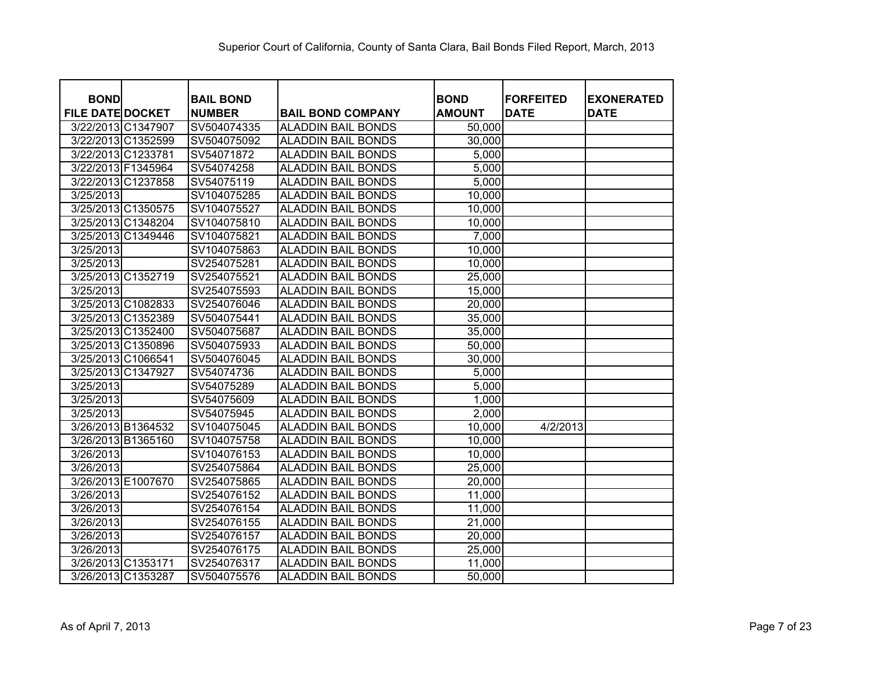| <b>BOND</b>             |                    | <b>BAIL BOND</b> |                           | <b>BOND</b>   | <b>FORFEITED</b> | <b>EXONERATED</b> |
|-------------------------|--------------------|------------------|---------------------------|---------------|------------------|-------------------|
| <b>FILE DATE DOCKET</b> |                    | <b>NUMBER</b>    | <b>BAIL BOND COMPANY</b>  | <b>AMOUNT</b> | <b>DATE</b>      | <b>DATE</b>       |
|                         | 3/22/2013 C1347907 | SV504074335      | ALADDIN BAIL BONDS        | 50,000        |                  |                   |
|                         | 3/22/2013 C1352599 | SV504075092      | ALADDIN BAIL BONDS        | 30,000        |                  |                   |
| 3/22/2013 C1233781      |                    | SV54071872       | ALADDIN BAIL BONDS        | 5,000         |                  |                   |
| 3/22/2013 F1345964      |                    | SV54074258       | <b>ALADDIN BAIL BONDS</b> | 5,000         |                  |                   |
|                         | 3/22/2013 C1237858 | SV54075119       | <b>ALADDIN BAIL BONDS</b> | 5,000         |                  |                   |
| 3/25/2013               |                    | SV104075285      | <b>ALADDIN BAIL BONDS</b> | 10,000        |                  |                   |
|                         | 3/25/2013 C1350575 | SV104075527      | <b>ALADDIN BAIL BONDS</b> | 10,000        |                  |                   |
|                         | 3/25/2013 C1348204 | SV104075810      | <b>ALADDIN BAIL BONDS</b> | 10,000        |                  |                   |
|                         | 3/25/2013 C1349446 | SV104075821      | <b>ALADDIN BAIL BONDS</b> | 7,000         |                  |                   |
| 3/25/2013               |                    | SV104075863      | <b>ALADDIN BAIL BONDS</b> | 10,000        |                  |                   |
| 3/25/2013               |                    | SV254075281      | <b>ALADDIN BAIL BONDS</b> | 10,000        |                  |                   |
|                         | 3/25/2013 C1352719 | SV254075521      | <b>ALADDIN BAIL BONDS</b> | 25,000        |                  |                   |
| 3/25/2013               |                    | SV254075593      | <b>ALADDIN BAIL BONDS</b> | 15,000        |                  |                   |
|                         | 3/25/2013 C1082833 | SV254076046      | <b>ALADDIN BAIL BONDS</b> | 20,000        |                  |                   |
|                         | 3/25/2013 C1352389 | SV504075441      | <b>ALADDIN BAIL BONDS</b> | 35,000        |                  |                   |
|                         | 3/25/2013 C1352400 | SV504075687      | <b>ALADDIN BAIL BONDS</b> | 35,000        |                  |                   |
|                         | 3/25/2013 C1350896 | SV504075933      | <b>ALADDIN BAIL BONDS</b> | 50,000        |                  |                   |
|                         | 3/25/2013 C1066541 | SV504076045      | <b>ALADDIN BAIL BONDS</b> | 30,000        |                  |                   |
|                         | 3/25/2013 C1347927 | SV54074736       | <b>ALADDIN BAIL BONDS</b> | 5,000         |                  |                   |
| 3/25/2013               |                    | SV54075289       | <b>ALADDIN BAIL BONDS</b> | 5,000         |                  |                   |
| 3/25/2013               |                    | SV54075609       | <b>ALADDIN BAIL BONDS</b> | 1,000         |                  |                   |
| 3/25/2013               |                    | SV54075945       | <b>ALADDIN BAIL BONDS</b> | 2,000         |                  |                   |
|                         | 3/26/2013 B1364532 | SV104075045      | <b>ALADDIN BAIL BONDS</b> | 10,000        | 4/2/2013         |                   |
|                         | 3/26/2013 B1365160 | SV104075758      | ALADDIN BAIL BONDS        | 10,000        |                  |                   |
| 3/26/2013               |                    | SV104076153      | <b>ALADDIN BAIL BONDS</b> | 10,000        |                  |                   |
| 3/26/2013               |                    | SV254075864      | ALADDIN BAIL BONDS        | 25,000        |                  |                   |
|                         | 3/26/2013 E1007670 | SV254075865      | <b>ALADDIN BAIL BONDS</b> | 20,000        |                  |                   |
| 3/26/2013               |                    | SV254076152      | ALADDIN BAIL BONDS        | 11,000        |                  |                   |
| 3/26/2013               |                    | SV254076154      | <b>ALADDIN BAIL BONDS</b> | 11,000        |                  |                   |
| 3/26/2013               |                    | SV254076155      | <b>ALADDIN BAIL BONDS</b> | 21,000        |                  |                   |
| 3/26/2013               |                    | SV254076157      | <b>ALADDIN BAIL BONDS</b> | 20,000        |                  |                   |
| 3/26/2013               |                    | SV254076175      | <b>ALADDIN BAIL BONDS</b> | 25,000        |                  |                   |
|                         | 3/26/2013 C1353171 | SV254076317      | <b>ALADDIN BAIL BONDS</b> | 11,000        |                  |                   |
|                         | 3/26/2013 C1353287 | SV504075576      | <b>ALADDIN BAIL BONDS</b> | 50,000        |                  |                   |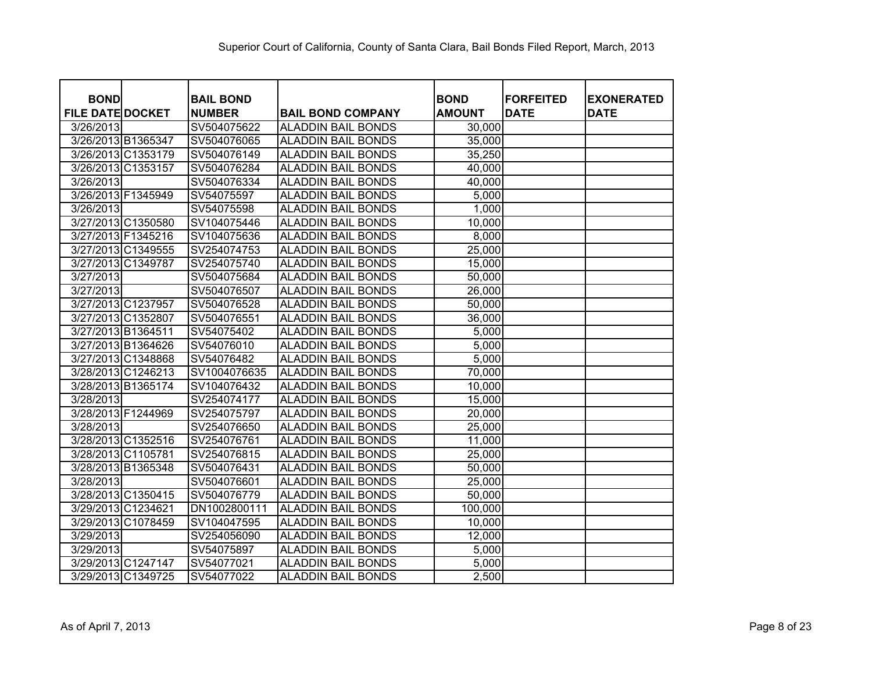| <b>BOND</b>             |                    | <b>BAIL BOND</b> |                           | <b>BOND</b>   | <b>FORFEITED</b> |                                  |
|-------------------------|--------------------|------------------|---------------------------|---------------|------------------|----------------------------------|
| <b>FILE DATE DOCKET</b> |                    | <b>NUMBER</b>    | <b>BAIL BOND COMPANY</b>  | <b>AMOUNT</b> | <b>DATE</b>      | <b>EXONERATED</b><br><b>DATE</b> |
| 3/26/2013               |                    | SV504075622      | <b>ALADDIN BAIL BONDS</b> | 30,000        |                  |                                  |
|                         | 3/26/2013 B1365347 | SV504076065      | <b>ALADDIN BAIL BONDS</b> | 35,000        |                  |                                  |
|                         | 3/26/2013 C1353179 | SV504076149      | <b>ALADDIN BAIL BONDS</b> | 35,250        |                  |                                  |
|                         | 3/26/2013 C1353157 | SV504076284      | <b>ALADDIN BAIL BONDS</b> | 40,000        |                  |                                  |
| 3/26/2013               |                    | SV504076334      | <b>ALADDIN BAIL BONDS</b> | 40,000        |                  |                                  |
|                         | 3/26/2013 F1345949 | SV54075597       | <b>ALADDIN BAIL BONDS</b> | 5,000         |                  |                                  |
| 3/26/2013               |                    | SV54075598       | <b>ALADDIN BAIL BONDS</b> | 1,000         |                  |                                  |
|                         | 3/27/2013 C1350580 | SV104075446      | <b>ALADDIN BAIL BONDS</b> | 10,000        |                  |                                  |
|                         | 3/27/2013 F1345216 |                  |                           | 8,000         |                  |                                  |
|                         |                    | SV104075636      | <b>ALADDIN BAIL BONDS</b> |               |                  |                                  |
|                         | 3/27/2013 C1349555 | SV254074753      | <b>ALADDIN BAIL BONDS</b> | 25,000        |                  |                                  |
|                         | 3/27/2013 C1349787 | SV254075740      | <b>ALADDIN BAIL BONDS</b> | 15,000        |                  |                                  |
| 3/27/2013               |                    | SV504075684      | <b>ALADDIN BAIL BONDS</b> | 50,000        |                  |                                  |
| 3/27/2013               |                    | SV504076507      | <b>ALADDIN BAIL BONDS</b> | 26,000        |                  |                                  |
|                         | 3/27/2013 C1237957 | SV504076528      | <b>ALADDIN BAIL BONDS</b> | 50,000        |                  |                                  |
|                         | 3/27/2013 C1352807 | SV504076551      | <b>ALADDIN BAIL BONDS</b> | 36,000        |                  |                                  |
| 3/27/2013 B1364511      |                    | SV54075402       | <b>ALADDIN BAIL BONDS</b> | 5,000         |                  |                                  |
|                         | 3/27/2013 B1364626 | SV54076010       | <b>ALADDIN BAIL BONDS</b> | 5,000         |                  |                                  |
|                         | 3/27/2013 C1348868 | SV54076482       | <b>ALADDIN BAIL BONDS</b> | 5,000         |                  |                                  |
|                         | 3/28/2013 C1246213 | SV1004076635     | <b>ALADDIN BAIL BONDS</b> | 70,000        |                  |                                  |
|                         | 3/28/2013 B1365174 | SV104076432      | <b>ALADDIN BAIL BONDS</b> | 10,000        |                  |                                  |
| 3/28/2013               |                    | SV254074177      | <b>ALADDIN BAIL BONDS</b> | 15,000        |                  |                                  |
|                         | 3/28/2013 F1244969 | SV254075797      | <b>ALADDIN BAIL BONDS</b> | 20,000        |                  |                                  |
| 3/28/2013               |                    | SV254076650      | <b>ALADDIN BAIL BONDS</b> | 25,000        |                  |                                  |
|                         | 3/28/2013 C1352516 | SV254076761      | <b>ALADDIN BAIL BONDS</b> | 11,000        |                  |                                  |
|                         | 3/28/2013 C1105781 | SV254076815      | <b>ALADDIN BAIL BONDS</b> | 25,000        |                  |                                  |
|                         | 3/28/2013 B1365348 | SV504076431      | <b>ALADDIN BAIL BONDS</b> | 50,000        |                  |                                  |
| 3/28/2013               |                    | SV504076601      | <b>ALADDIN BAIL BONDS</b> | 25,000        |                  |                                  |
|                         | 3/28/2013 C1350415 | SV504076779      | <b>ALADDIN BAIL BONDS</b> | 50,000        |                  |                                  |
|                         | 3/29/2013 C1234621 | DN1002800111     | <b>ALADDIN BAIL BONDS</b> | 100,000       |                  |                                  |
|                         | 3/29/2013 C1078459 | SV104047595      | <b>ALADDIN BAIL BONDS</b> | 10,000        |                  |                                  |
| 3/29/2013               |                    | SV254056090      | <b>ALADDIN BAIL BONDS</b> | 12,000        |                  |                                  |
| 3/29/2013               |                    | SV54075897       | <b>ALADDIN BAIL BONDS</b> | 5,000         |                  |                                  |
|                         | 3/29/2013 C1247147 | SV54077021       | <b>ALADDIN BAIL BONDS</b> | 5,000         |                  |                                  |
|                         | 3/29/2013 C1349725 | SV54077022       | <b>ALADDIN BAIL BONDS</b> | 2,500         |                  |                                  |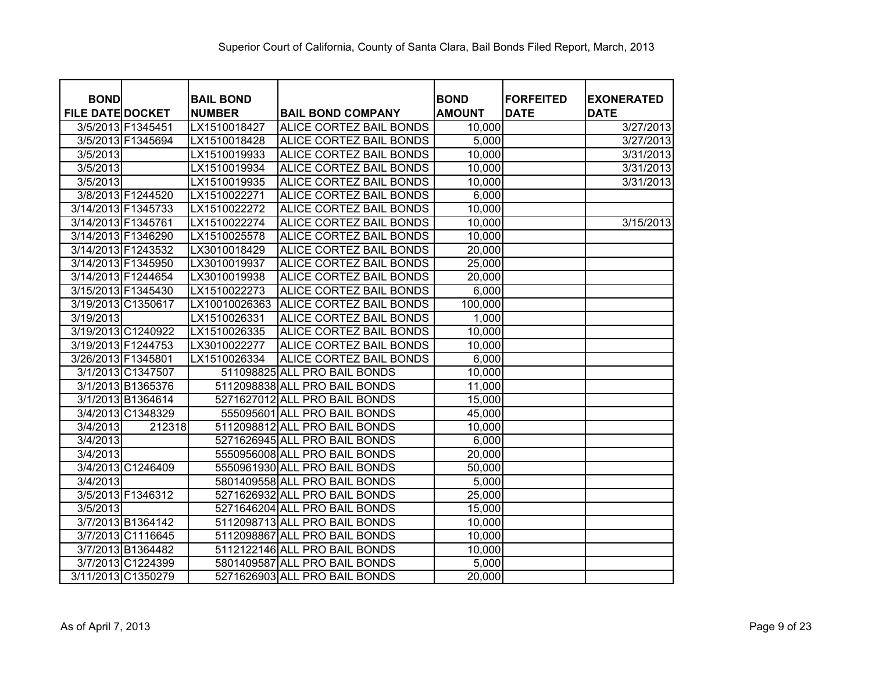| <b>BOND</b>             |                    | <b>BAIL BOND</b> |                                | <b>BOND</b>   | <b>FORFEITED</b> | <b>EXONERATED</b> |
|-------------------------|--------------------|------------------|--------------------------------|---------------|------------------|-------------------|
| <b>FILE DATE DOCKET</b> |                    | <b>NUMBER</b>    | <b>BAIL BOND COMPANY</b>       | <b>AMOUNT</b> | <b>DATE</b>      | <b>DATE</b>       |
|                         | 3/5/2013 F1345451  | LX1510018427     | ALICE CORTEZ BAIL BONDS        | 10,000        |                  | 3/27/2013         |
|                         | 3/5/2013 F1345694  | LX1510018428     | <b>ALICE CORTEZ BAIL BONDS</b> | 5,000         |                  | 3/27/2013         |
| 3/5/2013                |                    | LX1510019933     | <b>ALICE CORTEZ BAIL BONDS</b> | 10,000        |                  | 3/31/2013         |
| 3/5/2013                |                    | LX1510019934     | <b>ALICE CORTEZ BAIL BONDS</b> | 10,000        |                  | 3/31/2013         |
| 3/5/2013                |                    | LX1510019935     | <b>ALICE CORTEZ BAIL BONDS</b> | 10,000        |                  | 3/31/2013         |
|                         | 3/8/2013 F1244520  | LX1510022271     | <b>ALICE CORTEZ BAIL BONDS</b> | 6,000         |                  |                   |
| 3/14/2013 F1345733      |                    | LX1510022272     | ALICE CORTEZ BAIL BONDS        | 10,000        |                  |                   |
| 3/14/2013 F1345761      |                    | LX1510022274     | ALICE CORTEZ BAIL BONDS        | 10,000        |                  | 3/15/2013         |
| 3/14/2013 F1346290      |                    | LX1510025578     | ALICE CORTEZ BAIL BONDS        | 10,000        |                  |                   |
| 3/14/2013 F1243532      |                    | LX3010018429     | ALICE CORTEZ BAIL BONDS        | 20,000        |                  |                   |
| 3/14/2013 F1345950      |                    | LX3010019937     | ALICE CORTEZ BAIL BONDS        | 25,000        |                  |                   |
| 3/14/2013 F1244654      |                    | LX3010019938     | ALICE CORTEZ BAIL BONDS        | 20,000        |                  |                   |
| 3/15/2013 F1345430      |                    | LX1510022273     | ALICE CORTEZ BAIL BONDS        | 6,000         |                  |                   |
| 3/19/2013 C1350617      |                    | LX10010026363    | <b>ALICE CORTEZ BAIL BONDS</b> | 100,000       |                  |                   |
| 3/19/2013               |                    | LX1510026331     | ALICE CORTEZ BAIL BONDS        | 1,000         |                  |                   |
|                         | 3/19/2013 C1240922 | LX1510026335     | ALICE CORTEZ BAIL BONDS        | 10,000        |                  |                   |
| 3/19/2013 F1244753      |                    | LX3010022277     | ALICE CORTEZ BAIL BONDS        | 10,000        |                  |                   |
| 3/26/2013 F1345801      |                    | LX1510026334     | ALICE CORTEZ BAIL BONDS        | 6,000         |                  |                   |
|                         | 3/1/2013 C1347507  |                  | 511098825 ALL PRO BAIL BONDS   | 10,000        |                  |                   |
|                         | 3/1/2013 B1365376  |                  | 5112098838 ALL PRO BAIL BONDS  | 11,000        |                  |                   |
|                         | 3/1/2013 B1364614  |                  | 5271627012 ALL PRO BAIL BONDS  | 15,000        |                  |                   |
|                         | 3/4/2013 C1348329  |                  | 555095601 ALL PRO BAIL BONDS   | 45,000        |                  |                   |
| 3/4/2013                | 212318             |                  | 5112098812 ALL PRO BAIL BONDS  | 10,000        |                  |                   |
| 3/4/2013                |                    |                  | 5271626945 ALL PRO BAIL BONDS  | 6,000         |                  |                   |
| 3/4/2013                |                    |                  | 5550956008 ALL PRO BAIL BONDS  | 20,000        |                  |                   |
|                         | 3/4/2013 C1246409  |                  | 5550961930 ALL PRO BAIL BONDS  | 50,000        |                  |                   |
| 3/4/2013                |                    |                  | 5801409558 ALL PRO BAIL BONDS  | 5,000         |                  |                   |
|                         | 3/5/2013 F1346312  |                  | 5271626932 ALL PRO BAIL BONDS  | 25,000        |                  |                   |
| 3/5/2013                |                    |                  | 5271646204 ALL PRO BAIL BONDS  | 15,000        |                  |                   |
|                         | 3/7/2013 B1364142  |                  | 5112098713 ALL PRO BAIL BONDS  | 10,000        |                  |                   |
|                         | 3/7/2013 C1116645  |                  | 5112098867 ALL PRO BAIL BONDS  | 10,000        |                  |                   |
|                         | 3/7/2013 B1364482  |                  | 5112122146 ALL PRO BAIL BONDS  | 10,000        |                  |                   |
|                         | 3/7/2013 C1224399  |                  | 5801409587 ALL PRO BAIL BONDS  | 5,000         |                  |                   |
|                         | 3/11/2013 C1350279 |                  | 5271626903 ALL PRO BAIL BONDS  | 20,000        |                  |                   |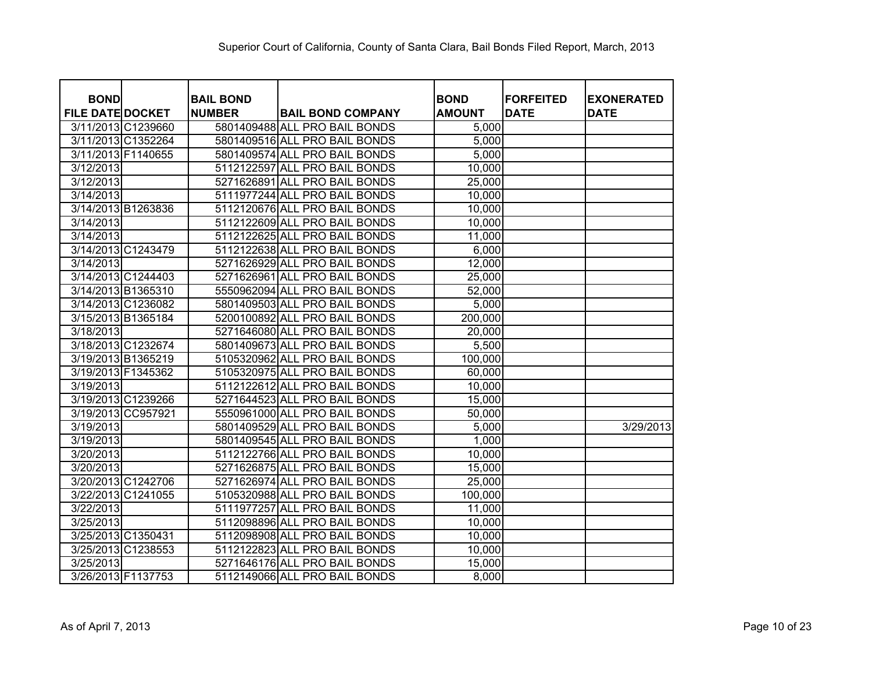| <b>BOND</b>             | <b>BAIL BOND</b> |                               | <b>BOND</b>   | <b>FORFEITED</b> | <b>EXONERATED</b> |
|-------------------------|------------------|-------------------------------|---------------|------------------|-------------------|
| <b>FILE DATE DOCKET</b> | <b>NUMBER</b>    | <b>BAIL BOND COMPANY</b>      | <b>AMOUNT</b> | <b>DATE</b>      | <b>DATE</b>       |
| 3/11/2013 C1239660      |                  | 5801409488 ALL PRO BAIL BONDS | 5,000         |                  |                   |
| 3/11/2013 C1352264      |                  | 5801409516 ALL PRO BAIL BONDS | 5,000         |                  |                   |
| 3/11/2013 F1140655      |                  | 5801409574 ALL PRO BAIL BONDS | 5,000         |                  |                   |
| 3/12/2013               |                  | 5112122597 ALL PRO BAIL BONDS | 10,000        |                  |                   |
| 3/12/2013               |                  | 5271626891 ALL PRO BAIL BONDS | 25,000        |                  |                   |
| 3/14/2013               |                  | 5111977244 ALL PRO BAIL BONDS | 10,000        |                  |                   |
| 3/14/2013 B1263836      |                  | 5112120676 ALL PRO BAIL BONDS | 10,000        |                  |                   |
| 3/14/2013               |                  | 5112122609 ALL PRO BAIL BONDS | 10,000        |                  |                   |
| 3/14/2013               |                  | 5112122625 ALL PRO BAIL BONDS | 11,000        |                  |                   |
| 3/14/2013 C1243479      |                  | 5112122638 ALL PRO BAIL BONDS | 6,000         |                  |                   |
| 3/14/2013               |                  | 5271626929 ALL PRO BAIL BONDS | 12,000        |                  |                   |
| 3/14/2013 C1244403      |                  | 5271626961 ALL PRO BAIL BONDS | 25,000        |                  |                   |
| 3/14/2013 B1365310      |                  | 5550962094 ALL PRO BAIL BONDS | 52,000        |                  |                   |
| 3/14/2013 C1236082      |                  | 5801409503 ALL PRO BAIL BONDS | 5,000         |                  |                   |
| 3/15/2013 B1365184      |                  | 5200100892 ALL PRO BAIL BONDS | 200,000       |                  |                   |
| 3/18/2013               |                  | 5271646080 ALL PRO BAIL BONDS | 20,000        |                  |                   |
| 3/18/2013 C1232674      |                  | 5801409673 ALL PRO BAIL BONDS | 5,500         |                  |                   |
| 3/19/2013 B1365219      |                  | 5105320962 ALL PRO BAIL BONDS | 100,000       |                  |                   |
| 3/19/2013 F1345362      |                  | 5105320975 ALL PRO BAIL BONDS | 60,000        |                  |                   |
| 3/19/2013               |                  | 5112122612 ALL PRO BAIL BONDS | 10,000        |                  |                   |
| 3/19/2013 C1239266      |                  | 5271644523 ALL PRO BAIL BONDS | 15,000        |                  |                   |
| 3/19/2013 CC957921      |                  | 5550961000 ALL PRO BAIL BONDS | 50,000        |                  |                   |
| 3/19/2013               |                  | 5801409529 ALL PRO BAIL BONDS | 5,000         |                  | 3/29/2013         |
| 3/19/2013               |                  | 5801409545 ALL PRO BAIL BONDS | 1,000         |                  |                   |
| 3/20/2013               |                  | 5112122766 ALL PRO BAIL BONDS | 10,000        |                  |                   |
| 3/20/2013               |                  | 5271626875 ALL PRO BAIL BONDS | 15,000        |                  |                   |
| 3/20/2013 C1242706      |                  | 5271626974 ALL PRO BAIL BONDS | 25,000        |                  |                   |
| 3/22/2013 C1241055      |                  | 5105320988 ALL PRO BAIL BONDS | 100,000       |                  |                   |
| 3/22/2013               |                  | 5111977257 ALL PRO BAIL BONDS | 11,000        |                  |                   |
| 3/25/2013               |                  | 5112098896 ALL PRO BAIL BONDS | 10,000        |                  |                   |
| 3/25/2013 C1350431      |                  | 5112098908 ALL PRO BAIL BONDS | 10,000        |                  |                   |
| 3/25/2013 C1238553      |                  | 5112122823 ALL PRO BAIL BONDS | 10,000        |                  |                   |
| 3/25/2013               |                  | 5271646176 ALL PRO BAIL BONDS | 15,000        |                  |                   |
| 3/26/2013 F1137753      |                  | 5112149066 ALL PRO BAIL BONDS | 8,000         |                  |                   |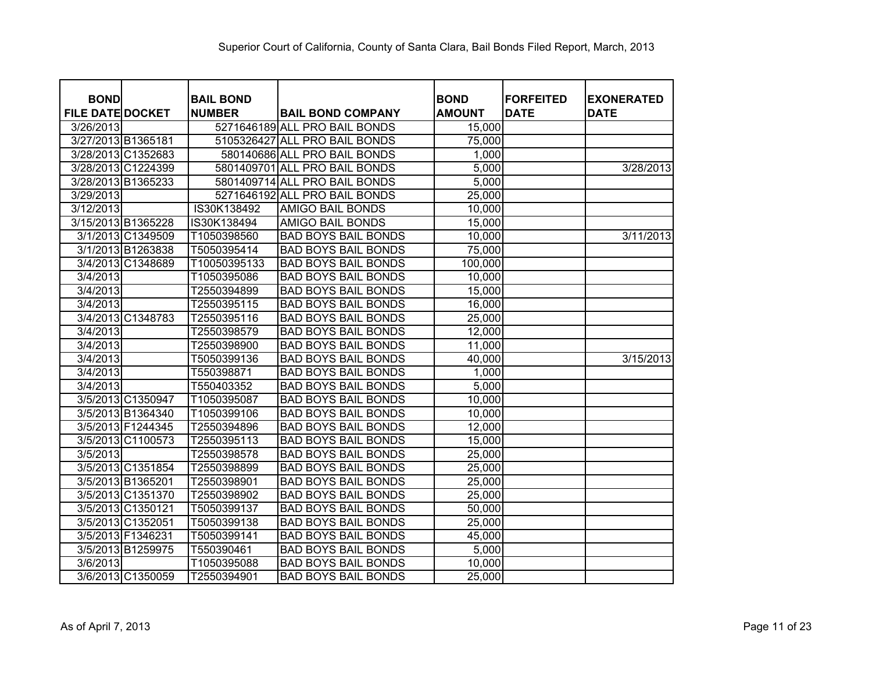| <b>BOND</b>             | <b>BAIL BOND</b> |                               | <b>BOND</b>   | <b>FORFEITED</b> | <b>EXONERATED</b> |
|-------------------------|------------------|-------------------------------|---------------|------------------|-------------------|
| <b>FILE DATE DOCKET</b> | <b>NUMBER</b>    | <b>BAIL BOND COMPANY</b>      | <b>AMOUNT</b> | <b>DATE</b>      | <b>DATE</b>       |
| 3/26/2013               |                  | 5271646189 ALL PRO BAIL BONDS | 15,000        |                  |                   |
| 3/27/2013 B1365181      |                  | 5105326427 ALL PRO BAIL BONDS | 75,000        |                  |                   |
| 3/28/2013 C1352683      |                  | 580140686 ALL PRO BAIL BONDS  | 1,000         |                  |                   |
| 3/28/2013 C1224399      |                  | 5801409701 ALL PRO BAIL BONDS | 5,000         |                  | 3/28/2013         |
| 3/28/2013 B1365233      |                  | 5801409714 ALL PRO BAIL BONDS | 5,000         |                  |                   |
| 3/29/2013               |                  | 5271646192 ALL PRO BAIL BONDS | 25,000        |                  |                   |
| 3/12/2013               | IS30K138492      | AMIGO BAIL BONDS              | 10,000        |                  |                   |
| 3/15/2013 B1365228      | IS30K138494      | AMIGO BAIL BONDS              | 15,000        |                  |                   |
| 3/1/2013 C1349509       | T1050398560      | <b>BAD BOYS BAIL BONDS</b>    | 10,000        |                  | 3/11/2013         |
| 3/1/2013 B1263838       | T5050395414      | <b>BAD BOYS BAIL BONDS</b>    | 75,000        |                  |                   |
| 3/4/2013 C1348689       | T10050395133     | <b>BAD BOYS BAIL BONDS</b>    | 100,000       |                  |                   |
| 3/4/2013                | T1050395086      | <b>BAD BOYS BAIL BONDS</b>    | 10,000        |                  |                   |
| 3/4/2013                | T2550394899      | <b>BAD BOYS BAIL BONDS</b>    | 15,000        |                  |                   |
| 3/4/2013                | T2550395115      | <b>BAD BOYS BAIL BONDS</b>    | 16,000        |                  |                   |
| 3/4/2013 C1348783       | T2550395116      | <b>BAD BOYS BAIL BONDS</b>    | 25,000        |                  |                   |
| 3/4/2013                | T2550398579      | <b>BAD BOYS BAIL BONDS</b>    | 12,000        |                  |                   |
| 3/4/2013                | T2550398900      | <b>BAD BOYS BAIL BONDS</b>    | 11,000        |                  |                   |
| 3/4/2013                | T5050399136      | <b>BAD BOYS BAIL BONDS</b>    | 40,000        |                  | 3/15/2013         |
| 3/4/2013                | T550398871       | <b>BAD BOYS BAIL BONDS</b>    | 1,000         |                  |                   |
| 3/4/2013                | T550403352       | <b>BAD BOYS BAIL BONDS</b>    | 5,000         |                  |                   |
| 3/5/2013 C1350947       | T1050395087      | <b>BAD BOYS BAIL BONDS</b>    | 10,000        |                  |                   |
| 3/5/2013 B1364340       | T1050399106      | <b>BAD BOYS BAIL BONDS</b>    | 10,000        |                  |                   |
| 3/5/2013 F1244345       | T2550394896      | <b>BAD BOYS BAIL BONDS</b>    | 12,000        |                  |                   |
| 3/5/2013 C1100573       | T2550395113      | <b>BAD BOYS BAIL BONDS</b>    | 15,000        |                  |                   |
| 3/5/2013                | T2550398578      | <b>BAD BOYS BAIL BONDS</b>    | 25,000        |                  |                   |
| 3/5/2013 C1351854       | T2550398899      | <b>BAD BOYS BAIL BONDS</b>    | 25,000        |                  |                   |
| 3/5/2013 B1365201       | T2550398901      | <b>BAD BOYS BAIL BONDS</b>    | 25,000        |                  |                   |
| 3/5/2013 C1351370       | T2550398902      | <b>BAD BOYS BAIL BONDS</b>    | 25,000        |                  |                   |
| 3/5/2013 C1350121       | T5050399137      | <b>BAD BOYS BAIL BONDS</b>    | 50,000        |                  |                   |
| 3/5/2013 C1352051       | T5050399138      | <b>BAD BOYS BAIL BONDS</b>    | 25,000        |                  |                   |
| 3/5/2013 F1346231       | T5050399141      | <b>BAD BOYS BAIL BONDS</b>    | 45,000        |                  |                   |
| 3/5/2013 B1259975       | T550390461       | <b>BAD BOYS BAIL BONDS</b>    | 5,000         |                  |                   |
| 3/6/2013                | T1050395088      | <b>BAD BOYS BAIL BONDS</b>    | 10,000        |                  |                   |
| 3/6/2013 C1350059       | T2550394901      | <b>BAD BOYS BAIL BONDS</b>    | 25,000        |                  |                   |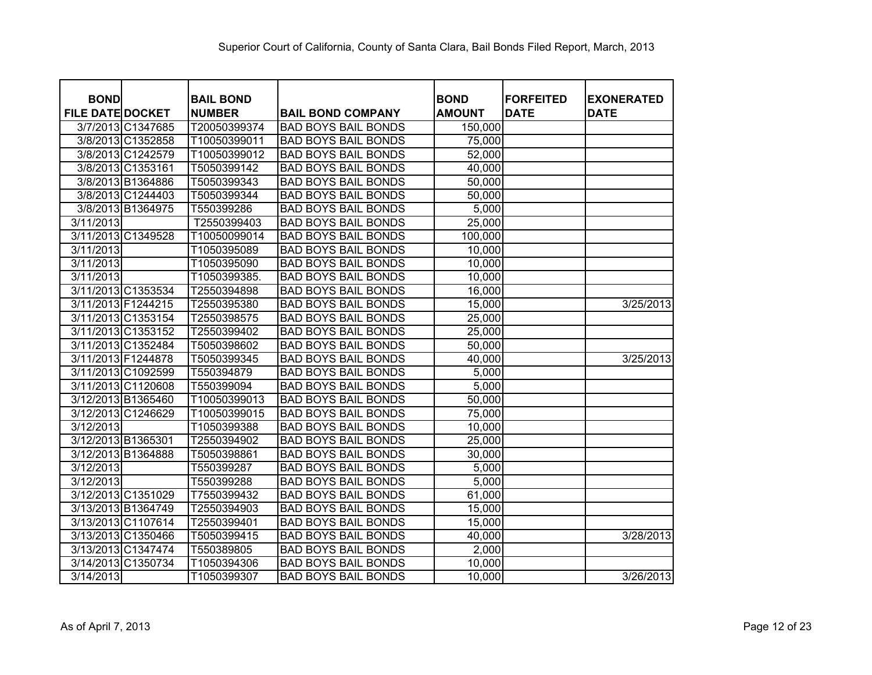| <b>BOND</b>             |                    | <b>BAIL BOND</b> |                            | <b>BOND</b>   | <b>FORFEITED</b> | <b>EXONERATED</b> |
|-------------------------|--------------------|------------------|----------------------------|---------------|------------------|-------------------|
| <b>FILE DATE DOCKET</b> |                    | <b>NUMBER</b>    | <b>BAIL BOND COMPANY</b>   | <b>AMOUNT</b> | <b>DATE</b>      | <b>DATE</b>       |
|                         | 3/7/2013 C1347685  | T20050399374     | <b>BAD BOYS BAIL BONDS</b> | 150,000       |                  |                   |
|                         | 3/8/2013 C1352858  | T10050399011     | <b>BAD BOYS BAIL BONDS</b> | 75,000        |                  |                   |
|                         | 3/8/2013 C1242579  | T10050399012     | <b>BAD BOYS BAIL BONDS</b> | 52,000        |                  |                   |
|                         | 3/8/2013 C1353161  | T5050399142      | <b>BAD BOYS BAIL BONDS</b> | 40,000        |                  |                   |
|                         | 3/8/2013 B1364886  | T5050399343      | <b>BAD BOYS BAIL BONDS</b> | 50,000        |                  |                   |
|                         | 3/8/2013 C1244403  | T5050399344      | <b>BAD BOYS BAIL BONDS</b> | 50,000        |                  |                   |
|                         | 3/8/2013 B1364975  | T550399286       | <b>BAD BOYS BAIL BONDS</b> | 5,000         |                  |                   |
| 3/11/2013               |                    | T2550399403      | <b>BAD BOYS BAIL BONDS</b> | 25,000        |                  |                   |
|                         | 3/11/2013 C1349528 | T10050099014     | <b>BAD BOYS BAIL BONDS</b> | 100,000       |                  |                   |
| 3/11/2013               |                    | T1050395089      | <b>BAD BOYS BAIL BONDS</b> | 10,000        |                  |                   |
| 3/11/2013               |                    | T1050395090      | <b>BAD BOYS BAIL BONDS</b> | 10,000        |                  |                   |
| 3/11/2013               |                    | T1050399385.     | <b>BAD BOYS BAIL BONDS</b> | 10,000        |                  |                   |
|                         | 3/11/2013 C1353534 | T2550394898      | <b>BAD BOYS BAIL BONDS</b> | 16,000        |                  |                   |
|                         | 3/11/2013 F1244215 | T2550395380      | <b>BAD BOYS BAIL BONDS</b> | 15,000        |                  | 3/25/2013         |
|                         | 3/11/2013 C1353154 | T2550398575      | <b>BAD BOYS BAIL BONDS</b> | 25,000        |                  |                   |
|                         | 3/11/2013 C1353152 | T2550399402      | <b>BAD BOYS BAIL BONDS</b> | 25,000        |                  |                   |
|                         | 3/11/2013 C1352484 | T5050398602      | <b>BAD BOYS BAIL BONDS</b> | 50,000        |                  |                   |
| 3/11/2013 F1244878      |                    | T5050399345      | <b>BAD BOYS BAIL BONDS</b> | 40,000        |                  | 3/25/2013         |
|                         | 3/11/2013 C1092599 | T550394879       | <b>BAD BOYS BAIL BONDS</b> | 5,000         |                  |                   |
|                         | 3/11/2013 C1120608 | T550399094       | <b>BAD BOYS BAIL BONDS</b> | 5,000         |                  |                   |
|                         | 3/12/2013 B1365460 | T10050399013     | <b>BAD BOYS BAIL BONDS</b> | 50,000        |                  |                   |
|                         | 3/12/2013 C1246629 | T10050399015     | <b>BAD BOYS BAIL BONDS</b> | 75,000        |                  |                   |
| 3/12/2013               |                    | T1050399388      | <b>BAD BOYS BAIL BONDS</b> | 10,000        |                  |                   |
| 3/12/2013 B1365301      |                    | T2550394902      | <b>BAD BOYS BAIL BONDS</b> | 25,000        |                  |                   |
|                         | 3/12/2013 B1364888 | T5050398861      | <b>BAD BOYS BAIL BONDS</b> | 30,000        |                  |                   |
| 3/12/2013               |                    | T550399287       | <b>BAD BOYS BAIL BONDS</b> | 5,000         |                  |                   |
| 3/12/2013               |                    | T550399288       | <b>BAD BOYS BAIL BONDS</b> | 5,000         |                  |                   |
|                         | 3/12/2013 C1351029 | T7550399432      | <b>BAD BOYS BAIL BONDS</b> | 61,000        |                  |                   |
|                         | 3/13/2013 B1364749 | T2550394903      | <b>BAD BOYS BAIL BONDS</b> | 15,000        |                  |                   |
|                         | 3/13/2013 C1107614 | T2550399401      | <b>BAD BOYS BAIL BONDS</b> | 15,000        |                  |                   |
|                         | 3/13/2013 C1350466 | T5050399415      | <b>BAD BOYS BAIL BONDS</b> | 40,000        |                  | 3/28/2013         |
|                         | 3/13/2013 C1347474 | T550389805       | <b>BAD BOYS BAIL BONDS</b> | 2,000         |                  |                   |
|                         | 3/14/2013 C1350734 | T1050394306      | <b>BAD BOYS BAIL BONDS</b> | 10,000        |                  |                   |
| 3/14/2013               |                    | T1050399307      | <b>BAD BOYS BAIL BONDS</b> | 10,000        |                  | 3/26/2013         |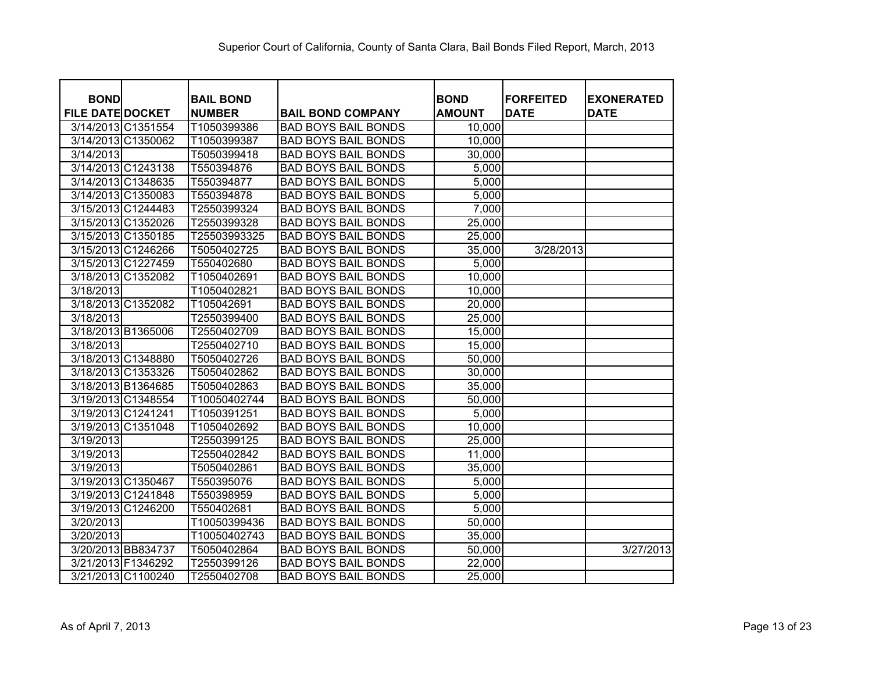| <b>BOND</b>             |                    | <b>BAIL BOND</b> |                            | <b>BOND</b>   | <b>FORFEITED</b> | <b>EXONERATED</b> |
|-------------------------|--------------------|------------------|----------------------------|---------------|------------------|-------------------|
| <b>FILE DATE DOCKET</b> |                    | <b>NUMBER</b>    | <b>BAIL BOND COMPANY</b>   | <b>AMOUNT</b> | <b>DATE</b>      | <b>DATE</b>       |
|                         | 3/14/2013 C1351554 | T1050399386      | <b>BAD BOYS BAIL BONDS</b> | 10,000        |                  |                   |
|                         | 3/14/2013 C1350062 | T1050399387      | <b>BAD BOYS BAIL BONDS</b> | 10,000        |                  |                   |
| 3/14/2013               |                    | T5050399418      | <b>BAD BOYS BAIL BONDS</b> | 30,000        |                  |                   |
|                         | 3/14/2013 C1243138 | T550394876       | <b>BAD BOYS BAIL BONDS</b> | 5,000         |                  |                   |
|                         | 3/14/2013 C1348635 | T550394877       | <b>BAD BOYS BAIL BONDS</b> | 5,000         |                  |                   |
|                         | 3/14/2013 C1350083 | T550394878       | <b>BAD BOYS BAIL BONDS</b> | 5,000         |                  |                   |
|                         | 3/15/2013 C1244483 | T2550399324      | <b>BAD BOYS BAIL BONDS</b> | 7,000         |                  |                   |
|                         | 3/15/2013 C1352026 | T2550399328      | <b>BAD BOYS BAIL BONDS</b> | 25,000        |                  |                   |
|                         | 3/15/2013 C1350185 | T25503993325     | <b>BAD BOYS BAIL BONDS</b> | 25,000        |                  |                   |
|                         | 3/15/2013 C1246266 | T5050402725      | <b>BAD BOYS BAIL BONDS</b> | 35,000        | 3/28/2013        |                   |
|                         | 3/15/2013 C1227459 | T550402680       | <b>BAD BOYS BAIL BONDS</b> | 5,000         |                  |                   |
|                         | 3/18/2013 C1352082 | T1050402691      | <b>BAD BOYS BAIL BONDS</b> | 10,000        |                  |                   |
| 3/18/2013               |                    | T1050402821      | <b>BAD BOYS BAIL BONDS</b> | 10,000        |                  |                   |
|                         | 3/18/2013 C1352082 | T105042691       | <b>BAD BOYS BAIL BONDS</b> | 20,000        |                  |                   |
| 3/18/2013               |                    | T2550399400      | <b>BAD BOYS BAIL BONDS</b> | 25,000        |                  |                   |
|                         | 3/18/2013 B1365006 | T2550402709      | <b>BAD BOYS BAIL BONDS</b> | 15,000        |                  |                   |
| 3/18/2013               |                    | T2550402710      | <b>BAD BOYS BAIL BONDS</b> | 15,000        |                  |                   |
|                         | 3/18/2013 C1348880 | T5050402726      | <b>BAD BOYS BAIL BONDS</b> | 50,000        |                  |                   |
|                         | 3/18/2013 C1353326 | T5050402862      | <b>BAD BOYS BAIL BONDS</b> | 30,000        |                  |                   |
|                         | 3/18/2013 B1364685 | T5050402863      | <b>BAD BOYS BAIL BONDS</b> | 35,000        |                  |                   |
|                         | 3/19/2013 C1348554 | T10050402744     | <b>BAD BOYS BAIL BONDS</b> | 50,000        |                  |                   |
| 3/19/2013 C1241241      |                    | T1050391251      | <b>BAD BOYS BAIL BONDS</b> | 5,000         |                  |                   |
|                         | 3/19/2013 C1351048 | T1050402692      | <b>BAD BOYS BAIL BONDS</b> | 10,000        |                  |                   |
| 3/19/2013               |                    | T2550399125      | <b>BAD BOYS BAIL BONDS</b> | 25,000        |                  |                   |
| 3/19/2013               |                    | T2550402842      | <b>BAD BOYS BAIL BONDS</b> | 11,000        |                  |                   |
| 3/19/2013               |                    | T5050402861      | <b>BAD BOYS BAIL BONDS</b> | 35,000        |                  |                   |
|                         | 3/19/2013 C1350467 | T550395076       | <b>BAD BOYS BAIL BONDS</b> | 5,000         |                  |                   |
|                         | 3/19/2013 C1241848 | T550398959       | <b>BAD BOYS BAIL BONDS</b> | 5,000         |                  |                   |
|                         | 3/19/2013 C1246200 | T550402681       | <b>BAD BOYS BAIL BONDS</b> | 5,000         |                  |                   |
| 3/20/2013               |                    | T10050399436     | <b>BAD BOYS BAIL BONDS</b> | 50,000        |                  |                   |
| 3/20/2013               |                    | T10050402743     | <b>BAD BOYS BAIL BONDS</b> | 35,000        |                  |                   |
|                         | 3/20/2013 BB834737 | T5050402864      | <b>BAD BOYS BAIL BONDS</b> | 50,000        |                  | 3/27/2013         |
| 3/21/2013 F1346292      |                    | T2550399126      | <b>BAD BOYS BAIL BONDS</b> | 22,000        |                  |                   |
|                         | 3/21/2013 C1100240 | T2550402708      | <b>BAD BOYS BAIL BONDS</b> | 25,000        |                  |                   |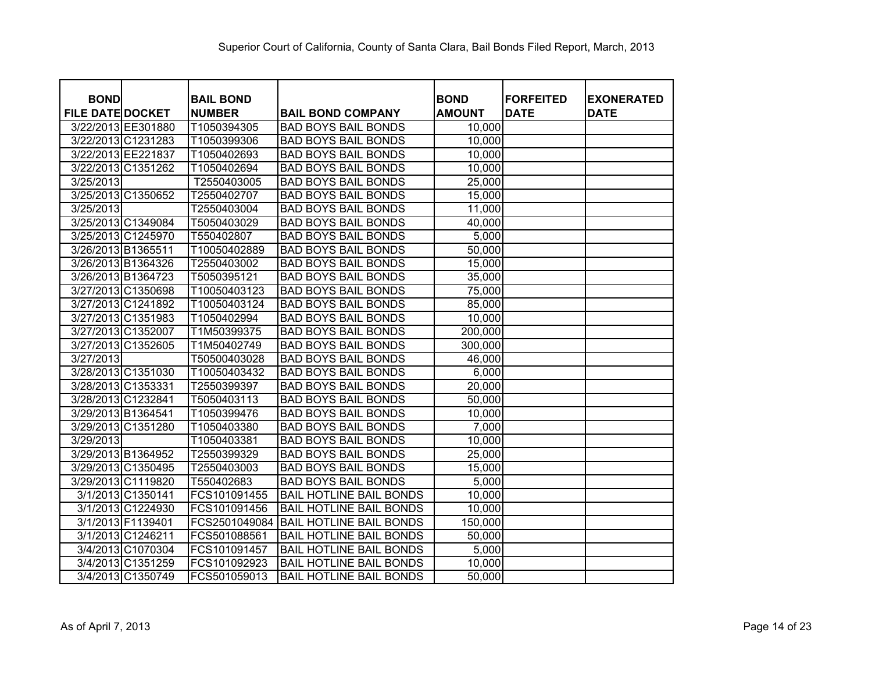| <b>BOND</b>             |                    | <b>BAIL BOND</b> |                                | <b>BOND</b>   | <b>FORFEITED</b> | <b>EXONERATED</b> |
|-------------------------|--------------------|------------------|--------------------------------|---------------|------------------|-------------------|
| <b>FILE DATE DOCKET</b> |                    | <b>NUMBER</b>    | <b>BAIL BOND COMPANY</b>       | <b>AMOUNT</b> | <b>DATE</b>      | <b>DATE</b>       |
|                         | 3/22/2013 EE301880 | T1050394305      | <b>BAD BOYS BAIL BONDS</b>     | 10,000        |                  |                   |
|                         | 3/22/2013 C1231283 | T1050399306      | <b>BAD BOYS BAIL BONDS</b>     | 10,000        |                  |                   |
|                         | 3/22/2013 EE221837 | T1050402693      | <b>BAD BOYS BAIL BONDS</b>     | 10,000        |                  |                   |
|                         | 3/22/2013 C1351262 | T1050402694      | <b>BAD BOYS BAIL BONDS</b>     | 10,000        |                  |                   |
| 3/25/2013               |                    | T2550403005      | <b>BAD BOYS BAIL BONDS</b>     | 25,000        |                  |                   |
|                         | 3/25/2013 C1350652 | T2550402707      | <b>BAD BOYS BAIL BONDS</b>     | 15,000        |                  |                   |
| 3/25/2013               |                    | T2550403004      | <b>BAD BOYS BAIL BONDS</b>     | 11,000        |                  |                   |
|                         | 3/25/2013 C1349084 | T5050403029      | <b>BAD BOYS BAIL BONDS</b>     | 40,000        |                  |                   |
|                         | 3/25/2013 C1245970 | T550402807       | <b>BAD BOYS BAIL BONDS</b>     | 5,000         |                  |                   |
| 3/26/2013 B1365511      |                    | T10050402889     | <b>BAD BOYS BAIL BONDS</b>     | 50,000        |                  |                   |
|                         | 3/26/2013 B1364326 | T2550403002      | <b>BAD BOYS BAIL BONDS</b>     | 15,000        |                  |                   |
|                         | 3/26/2013 B1364723 | T5050395121      | <b>BAD BOYS BAIL BONDS</b>     | 35,000        |                  |                   |
|                         | 3/27/2013 C1350698 | T10050403123     | <b>BAD BOYS BAIL BONDS</b>     | 75,000        |                  |                   |
|                         | 3/27/2013 C1241892 | T10050403124     | <b>BAD BOYS BAIL BONDS</b>     | 85,000        |                  |                   |
|                         | 3/27/2013 C1351983 | T1050402994      | <b>BAD BOYS BAIL BONDS</b>     | 10,000        |                  |                   |
|                         | 3/27/2013 C1352007 | T1M50399375      | <b>BAD BOYS BAIL BONDS</b>     | 200,000       |                  |                   |
|                         | 3/27/2013 C1352605 | T1M50402749      | <b>BAD BOYS BAIL BONDS</b>     | 300,000       |                  |                   |
| 3/27/2013               |                    | T50500403028     | <b>BAD BOYS BAIL BONDS</b>     | 46,000        |                  |                   |
|                         | 3/28/2013 C1351030 | T10050403432     | <b>BAD BOYS BAIL BONDS</b>     | 6,000         |                  |                   |
|                         | 3/28/2013 C1353331 | T2550399397      | <b>BAD BOYS BAIL BONDS</b>     | 20,000        |                  |                   |
|                         | 3/28/2013 C1232841 | T5050403113      | <b>BAD BOYS BAIL BONDS</b>     | 50,000        |                  |                   |
| 3/29/2013 B1364541      |                    | T1050399476      | <b>BAD BOYS BAIL BONDS</b>     | 10,000        |                  |                   |
|                         | 3/29/2013 C1351280 | T1050403380      | <b>BAD BOYS BAIL BONDS</b>     | 7,000         |                  |                   |
| 3/29/2013               |                    | T1050403381      | <b>BAD BOYS BAIL BONDS</b>     | 10,000        |                  |                   |
|                         | 3/29/2013 B1364952 | T2550399329      | <b>BAD BOYS BAIL BONDS</b>     | 25,000        |                  |                   |
|                         | 3/29/2013 C1350495 | T2550403003      | <b>BAD BOYS BAIL BONDS</b>     | 15,000        |                  |                   |
|                         | 3/29/2013 C1119820 | T550402683       | <b>BAD BOYS BAIL BONDS</b>     | 5,000         |                  |                   |
|                         | 3/1/2013 C1350141  | FCS101091455     | <b>BAIL HOTLINE BAIL BONDS</b> | 10,000        |                  |                   |
|                         | 3/1/2013 C1224930  | FCS101091456     | <b>BAIL HOTLINE BAIL BONDS</b> | 10,000        |                  |                   |
|                         | 3/1/2013 F1139401  | FCS2501049084    | <b>BAIL HOTLINE BAIL BONDS</b> | 150,000       |                  |                   |
|                         | 3/1/2013 C1246211  | FCS501088561     | <b>BAIL HOTLINE BAIL BONDS</b> | 50,000        |                  |                   |
|                         | 3/4/2013 C1070304  | FCS101091457     | <b>BAIL HOTLINE BAIL BONDS</b> | 5,000         |                  |                   |
|                         | 3/4/2013 C1351259  | FCS101092923     | <b>BAIL HOTLINE BAIL BONDS</b> | 10,000        |                  |                   |
|                         | 3/4/2013 C1350749  | FCS501059013     | <b>BAIL HOTLINE BAIL BONDS</b> | 50,000        |                  |                   |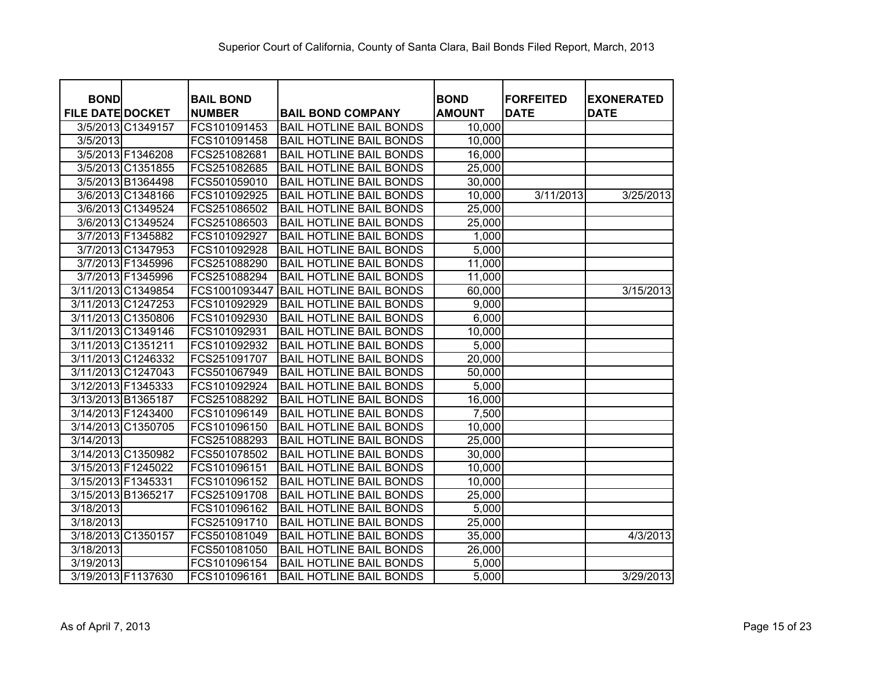| <b>BOND</b>             | <b>BAIL BOND</b> |                                | <b>BOND</b>   | <b>FORFEITED</b> | <b>EXONERATED</b> |
|-------------------------|------------------|--------------------------------|---------------|------------------|-------------------|
| <b>FILE DATE DOCKET</b> | <b>NUMBER</b>    | <b>BAIL BOND COMPANY</b>       | <b>AMOUNT</b> | <b>DATE</b>      | <b>DATE</b>       |
| 3/5/2013 C1349157       | FCS101091453     | <b>BAIL HOTLINE BAIL BONDS</b> | 10,000        |                  |                   |
| 3/5/2013                | FCS101091458     | <b>BAIL HOTLINE BAIL BONDS</b> | 10,000        |                  |                   |
| 3/5/2013 F1346208       | FCS251082681     | <b>BAIL HOTLINE BAIL BONDS</b> | 16,000        |                  |                   |
| 3/5/2013 C1351855       | FCS251082685     | <b>BAIL HOTLINE BAIL BONDS</b> | 25,000        |                  |                   |
| 3/5/2013 B1364498       | FCS501059010     | <b>BAIL HOTLINE BAIL BONDS</b> | 30,000        |                  |                   |
| 3/6/2013 C1348166       | FCS101092925     | <b>BAIL HOTLINE BAIL BONDS</b> | 10,000        | 3/11/2013        | 3/25/2013         |
| 3/6/2013 C1349524       | FCS251086502     | <b>BAIL HOTLINE BAIL BONDS</b> | 25,000        |                  |                   |
| 3/6/2013 C1349524       | FCS251086503     | <b>BAIL HOTLINE BAIL BONDS</b> | 25,000        |                  |                   |
| 3/7/2013 F1345882       | FCS101092927     | <b>BAIL HOTLINE BAIL BONDS</b> | 1,000         |                  |                   |
| 3/7/2013 C1347953       | FCS101092928     | <b>BAIL HOTLINE BAIL BONDS</b> | 5,000         |                  |                   |
| 3/7/2013 F1345996       | FCS251088290     | <b>BAIL HOTLINE BAIL BONDS</b> | 11,000        |                  |                   |
| 3/7/2013 F1345996       | FCS251088294     | <b>BAIL HOTLINE BAIL BONDS</b> | 11,000        |                  |                   |
| 3/11/2013 C1349854      | FCS1001093447    | <b>BAIL HOTLINE BAIL BONDS</b> | 60,000        |                  | 3/15/2013         |
| 3/11/2013 C1247253      | FCS101092929     | <b>BAIL HOTLINE BAIL BONDS</b> | 9,000         |                  |                   |
| 3/11/2013 C1350806      | FCS101092930     | <b>BAIL HOTLINE BAIL BONDS</b> | 6,000         |                  |                   |
| 3/11/2013 C1349146      | FCS101092931     | <b>BAIL HOTLINE BAIL BONDS</b> | 10,000        |                  |                   |
| 3/11/2013 C1351211      | FCS101092932     | <b>BAIL HOTLINE BAIL BONDS</b> | 5,000         |                  |                   |
| 3/11/2013 C1246332      | FCS251091707     | <b>BAIL HOTLINE BAIL BONDS</b> | 20,000        |                  |                   |
| 3/11/2013 C1247043      | FCS501067949     | <b>BAIL HOTLINE BAIL BONDS</b> | 50,000        |                  |                   |
| 3/12/2013 F1345333      | FCS101092924     | <b>BAIL HOTLINE BAIL BONDS</b> | 5,000         |                  |                   |
| 3/13/2013 B1365187      | FCS251088292     | <b>BAIL HOTLINE BAIL BONDS</b> | 16,000        |                  |                   |
| 3/14/2013 F1243400      | FCS101096149     | <b>BAIL HOTLINE BAIL BONDS</b> | 7,500         |                  |                   |
| 3/14/2013 C1350705      | FCS101096150     | <b>BAIL HOTLINE BAIL BONDS</b> | 10,000        |                  |                   |
| 3/14/2013               | FCS251088293     | <b>BAIL HOTLINE BAIL BONDS</b> | 25,000        |                  |                   |
| 3/14/2013 C1350982      | FCS501078502     | <b>BAIL HOTLINE BAIL BONDS</b> | 30,000        |                  |                   |
| 3/15/2013 F1245022      | FCS101096151     | <b>BAIL HOTLINE BAIL BONDS</b> | 10,000        |                  |                   |
| 3/15/2013 F1345331      | FCS101096152     | <b>BAIL HOTLINE BAIL BONDS</b> | 10,000        |                  |                   |
| 3/15/2013 B1365217      | FCS251091708     | <b>BAIL HOTLINE BAIL BONDS</b> | 25,000        |                  |                   |
| 3/18/2013               | FCS101096162     | <b>BAIL HOTLINE BAIL BONDS</b> | 5,000         |                  |                   |
| 3/18/2013               | FCS251091710     | <b>BAIL HOTLINE BAIL BONDS</b> | 25,000        |                  |                   |
| 3/18/2013 C1350157      | FCS501081049     | <b>BAIL HOTLINE BAIL BONDS</b> | 35,000        |                  | 4/3/2013          |
| 3/18/2013               | FCS501081050     | <b>BAIL HOTLINE BAIL BONDS</b> | 26,000        |                  |                   |
| 3/19/2013               | FCS101096154     | <b>BAIL HOTLINE BAIL BONDS</b> | 5,000         |                  |                   |
| 3/19/2013 F1137630      | FCS101096161     | <b>BAIL HOTLINE BAIL BONDS</b> | 5,000         |                  | 3/29/2013         |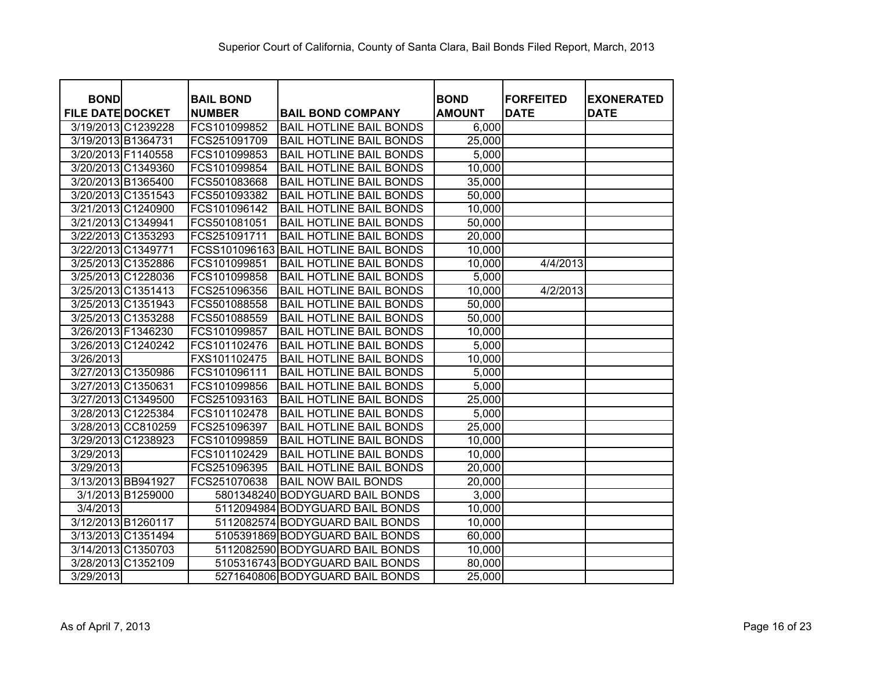| <b>BOND</b>             |                    |                                   |                                 | <b>BOND</b>   | <b>FORFEITED</b> |                                  |
|-------------------------|--------------------|-----------------------------------|---------------------------------|---------------|------------------|----------------------------------|
| <b>FILE DATE DOCKET</b> |                    | <b>BAIL BOND</b><br><b>NUMBER</b> | <b>BAIL BOND COMPANY</b>        | <b>AMOUNT</b> | <b>DATE</b>      | <b>EXONERATED</b><br><b>DATE</b> |
|                         | 3/19/2013 C1239228 | FCS101099852                      | <b>BAIL HOTLINE BAIL BONDS</b>  | 6,000         |                  |                                  |
| 3/19/2013 B1364731      |                    | FCS251091709                      | <b>BAIL HOTLINE BAIL BONDS</b>  | 25,000        |                  |                                  |
| 3/20/2013 F1140558      |                    | FCS101099853                      | <b>BAIL HOTLINE BAIL BONDS</b>  | 5,000         |                  |                                  |
|                         | 3/20/2013 C1349360 | FCS101099854                      | <b>BAIL HOTLINE BAIL BONDS</b>  | 10,000        |                  |                                  |
|                         | 3/20/2013 B1365400 | FCS501083668                      | <b>BAIL HOTLINE BAIL BONDS</b>  | 35,000        |                  |                                  |
|                         | 3/20/2013 C1351543 | FCS501093382                      | <b>BAIL HOTLINE BAIL BONDS</b>  | 50,000        |                  |                                  |
|                         | 3/21/2013 C1240900 | FCS101096142                      | <b>BAIL HOTLINE BAIL BONDS</b>  | 10,000        |                  |                                  |
|                         | 3/21/2013 C1349941 | FCS501081051                      | <b>BAIL HOTLINE BAIL BONDS</b>  | 50,000        |                  |                                  |
|                         | 3/22/2013 C1353293 | FCS251091711                      | <b>BAIL HOTLINE BAIL BONDS</b>  | 20,000        |                  |                                  |
|                         | 3/22/2013 C1349771 | FCSS101096163                     | <b>BAIL HOTLINE BAIL BONDS</b>  | 10,000        |                  |                                  |
|                         | 3/25/2013 C1352886 | FCS101099851                      | <b>BAIL HOTLINE BAIL BONDS</b>  | 10,000        | 4/4/2013         |                                  |
|                         | 3/25/2013 C1228036 | FCS101099858                      | <b>BAIL HOTLINE BAIL BONDS</b>  | 5,000         |                  |                                  |
|                         | 3/25/2013 C1351413 | FCS251096356                      | <b>BAIL HOTLINE BAIL BONDS</b>  | 10,000        | 4/2/2013         |                                  |
|                         | 3/25/2013 C1351943 | FCS501088558                      | <b>BAIL HOTLINE BAIL BONDS</b>  | 50,000        |                  |                                  |
|                         | 3/25/2013 C1353288 | FCS501088559                      | <b>BAIL HOTLINE BAIL BONDS</b>  | 50,000        |                  |                                  |
|                         | 3/26/2013 F1346230 | FCS101099857                      | <b>BAIL HOTLINE BAIL BONDS</b>  | 10,000        |                  |                                  |
|                         | 3/26/2013 C1240242 | FCS101102476                      | <b>BAIL HOTLINE BAIL BONDS</b>  | 5,000         |                  |                                  |
| 3/26/2013               |                    | FXS101102475                      | <b>BAIL HOTLINE BAIL BONDS</b>  | 10,000        |                  |                                  |
|                         | 3/27/2013 C1350986 | FCS101096111                      | <b>BAIL HOTLINE BAIL BONDS</b>  | 5,000         |                  |                                  |
|                         | 3/27/2013 C1350631 | FCS101099856                      | <b>BAIL HOTLINE BAIL BONDS</b>  | 5,000         |                  |                                  |
|                         | 3/27/2013 C1349500 | FCS251093163                      | <b>BAIL HOTLINE BAIL BONDS</b>  | 25,000        |                  |                                  |
|                         | 3/28/2013 C1225384 | FCS101102478                      | <b>BAIL HOTLINE BAIL BONDS</b>  | 5,000         |                  |                                  |
|                         | 3/28/2013 CC810259 | FCS251096397                      | <b>BAIL HOTLINE BAIL BONDS</b>  | 25,000        |                  |                                  |
|                         | 3/29/2013 C1238923 | FCS101099859                      | <b>BAIL HOTLINE BAIL BONDS</b>  | 10,000        |                  |                                  |
| 3/29/2013               |                    | FCS101102429                      | <b>BAIL HOTLINE BAIL BONDS</b>  | 10,000        |                  |                                  |
| 3/29/2013               |                    | FCS251096395                      | <b>BAIL HOTLINE BAIL BONDS</b>  | 20,000        |                  |                                  |
|                         | 3/13/2013 BB941927 | FCS251070638                      | <b>BAIL NOW BAIL BONDS</b>      | 20,000        |                  |                                  |
|                         | 3/1/2013 B1259000  |                                   | 5801348240 BODYGUARD BAIL BONDS | 3,000         |                  |                                  |
| 3/4/2013                |                    |                                   | 5112094984 BODYGUARD BAIL BONDS | 10,000        |                  |                                  |
|                         | 3/12/2013 B1260117 |                                   | 5112082574 BODYGUARD BAIL BONDS | 10,000        |                  |                                  |
|                         | 3/13/2013 C1351494 |                                   | 5105391869 BODYGUARD BAIL BONDS | 60,000        |                  |                                  |
|                         | 3/14/2013 C1350703 |                                   | 5112082590 BODYGUARD BAIL BONDS | 10,000        |                  |                                  |
|                         | 3/28/2013 C1352109 |                                   | 5105316743 BODYGUARD BAIL BONDS | 80,000        |                  |                                  |
| 3/29/2013               |                    |                                   | 5271640806 BODYGUARD BAIL BONDS | 25,000        |                  |                                  |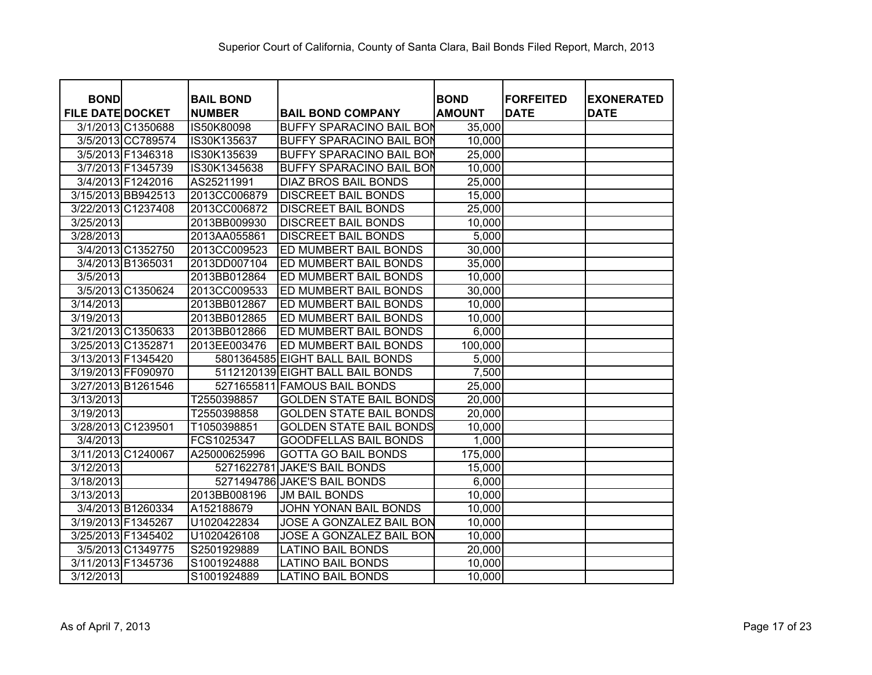| <b>BOND</b>             |                    | <b>BAIL BOND</b> |                                  | <b>BOND</b>   | <b>FORFEITED</b> | <b>EXONERATED</b> |
|-------------------------|--------------------|------------------|----------------------------------|---------------|------------------|-------------------|
| <b>FILE DATE DOCKET</b> |                    | <b>NUMBER</b>    | <b>BAIL BOND COMPANY</b>         | <b>AMOUNT</b> | <b>DATE</b>      | <b>DATE</b>       |
|                         | 3/1/2013 C1350688  | IS50K80098       | <b>BUFFY SPARACINO BAIL BON</b>  | 35,000        |                  |                   |
|                         | 3/5/2013 CC789574  | IS30K135637      | <b>BUFFY SPARACINO BAIL BON</b>  | 10,000        |                  |                   |
|                         | 3/5/2013 F1346318  | IS30K135639      | <b>BUFFY SPARACINO BAIL BON</b>  | 25,000        |                  |                   |
|                         | 3/7/2013 F1345739  | IS30K1345638     | <b>BUFFY SPARACINO BAIL BON</b>  | 10,000        |                  |                   |
|                         | 3/4/2013 F1242016  | AS25211991       | <b>DIAZ BROS BAIL BONDS</b>      | 25,000        |                  |                   |
|                         | 3/15/2013 BB942513 | 2013CC006879     | <b>DISCREET BAIL BONDS</b>       | 15,000        |                  |                   |
| 3/22/2013 C1237408      |                    | 2013CC006872     | <b>DISCREET BAIL BONDS</b>       | 25,000        |                  |                   |
| 3/25/2013               |                    | 2013BB009930     | <b>DISCREET BAIL BONDS</b>       | 10,000        |                  |                   |
| 3/28/2013               |                    | 2013AA055861     | <b>DISCREET BAIL BONDS</b>       | 5,000         |                  |                   |
|                         | 3/4/2013 C1352750  | 2013CC009523     | ED MUMBERT BAIL BONDS            | 30,000        |                  |                   |
|                         | 3/4/2013 B1365031  | 2013DD007104     | ED MUMBERT BAIL BONDS            | 35,000        |                  |                   |
| 3/5/2013                |                    | 2013BB012864     | ED MUMBERT BAIL BONDS            | 10,000        |                  |                   |
|                         | 3/5/2013 C1350624  | 2013CC009533     | ED MUMBERT BAIL BONDS            | 30,000        |                  |                   |
| 3/14/2013               |                    | 2013BB012867     | ED MUMBERT BAIL BONDS            | 10,000        |                  |                   |
| 3/19/2013               |                    | 2013BB012865     | ED MUMBERT BAIL BONDS            | 10,000        |                  |                   |
| 3/21/2013 C1350633      |                    | 2013BB012866     | ED MUMBERT BAIL BONDS            | 6,000         |                  |                   |
| 3/25/2013 C1352871      |                    | 2013EE003476     | ED MUMBERT BAIL BONDS            | 100,000       |                  |                   |
| 3/13/2013 F1345420      |                    |                  | 5801364585 EIGHT BALL BAIL BONDS | 5,000         |                  |                   |
| 3/19/2013 FF090970      |                    |                  | 5112120139 EIGHT BALL BAIL BONDS | 7,500         |                  |                   |
| 3/27/2013 B1261546      |                    |                  | 5271655811 FAMOUS BAIL BONDS     | 25,000        |                  |                   |
| 3/13/2013               |                    | T2550398857      | <b>GOLDEN STATE BAIL BONDS</b>   | 20,000        |                  |                   |
| 3/19/2013               |                    | T2550398858      | <b>GOLDEN STATE BAIL BONDS</b>   | 20,000        |                  |                   |
| 3/28/2013 C1239501      |                    | T1050398851      | <b>GOLDEN STATE BAIL BONDS</b>   | 10,000        |                  |                   |
| 3/4/2013                |                    | FCS1025347       | <b>GOODFELLAS BAIL BONDS</b>     | 1,000         |                  |                   |
| 3/11/2013 C1240067      |                    | A25000625996     | <b>GOTTA GO BAIL BONDS</b>       | 175,000       |                  |                   |
| 3/12/2013               |                    | 5271622781       | <b>JAKE'S BAIL BONDS</b>         | 15,000        |                  |                   |
| 3/18/2013               |                    |                  | 5271494786 JAKE'S BAIL BONDS     | 6,000         |                  |                   |
| 3/13/2013               |                    | 2013BB008196     | <b>JM BAIL BONDS</b>             | 10,000        |                  |                   |
|                         | 3/4/2013 B1260334  | A152188679       | JOHN YONAN BAIL BONDS            | 10,000        |                  |                   |
| 3/19/2013 F1345267      |                    | U1020422834      | JOSE A GONZALEZ BAIL BON         | 10,000        |                  |                   |
| 3/25/2013 F1345402      |                    | U1020426108      | JOSE A GONZALEZ BAIL BON         | 10,000        |                  |                   |
|                         | 3/5/2013 C1349775  | S2501929889      | <b>LATINO BAIL BONDS</b>         | 20,000        |                  |                   |
| 3/11/2013 F1345736      |                    | S1001924888      | <b>LATINO BAIL BONDS</b>         | 10,000        |                  |                   |
| 3/12/2013               |                    | S1001924889      | <b>LATINO BAIL BONDS</b>         | 10,000        |                  |                   |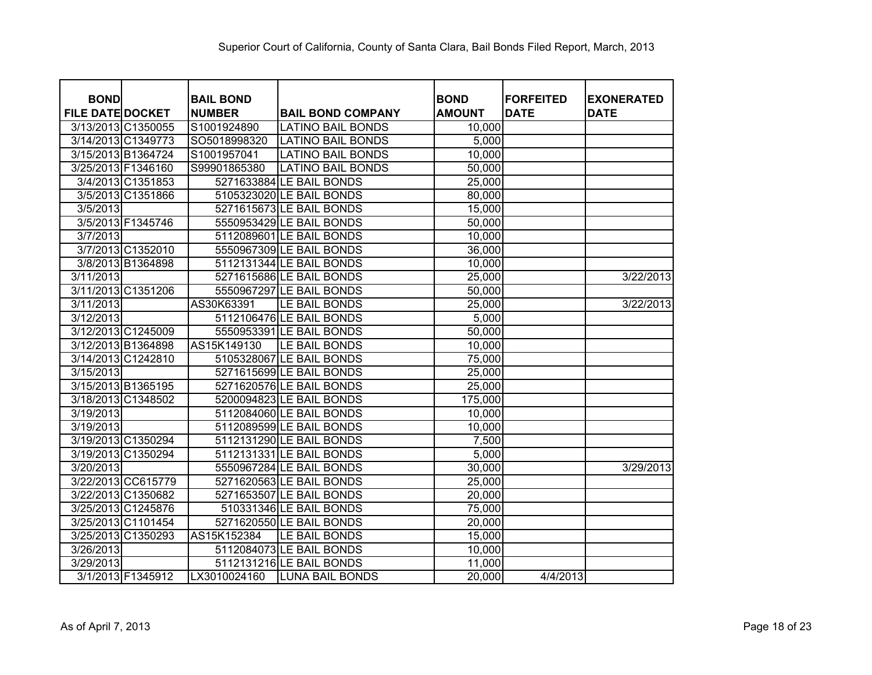| <b>BOND</b>             |                    | <b>BAIL BOND</b> |                          | <b>BOND</b>   | <b>FORFEITED</b> | <b>EXONERATED</b> |
|-------------------------|--------------------|------------------|--------------------------|---------------|------------------|-------------------|
| <b>FILE DATE DOCKET</b> |                    | <b>NUMBER</b>    | <b>BAIL BOND COMPANY</b> | <b>AMOUNT</b> | <b>DATE</b>      | <b>DATE</b>       |
| 3/13/2013 C1350055      |                    | S1001924890      | <b>LATINO BAIL BONDS</b> | 10,000        |                  |                   |
| 3/14/2013 C1349773      |                    | SO5018998320     | <b>LATINO BAIL BONDS</b> | 5,000         |                  |                   |
| 3/15/2013 B1364724      |                    | S1001957041      | <b>LATINO BAIL BONDS</b> | 10,000        |                  |                   |
| 3/25/2013 F1346160      |                    | S99901865380     | <b>LATINO BAIL BONDS</b> | 50,000        |                  |                   |
|                         | 3/4/2013 C1351853  |                  | 5271633884 LE BAIL BONDS | 25,000        |                  |                   |
|                         | 3/5/2013 C1351866  |                  | 5105323020 LE BAIL BONDS | 80,000        |                  |                   |
| 3/5/2013                |                    |                  | 5271615673 LE BAIL BONDS | 15,000        |                  |                   |
|                         | 3/5/2013 F1345746  |                  | 5550953429 LE BAIL BONDS | 50,000        |                  |                   |
| 3/7/2013                |                    |                  | 5112089601 LE BAIL BONDS | 10,000        |                  |                   |
|                         | 3/7/2013 C1352010  |                  | 5550967309 LE BAIL BONDS | 36,000        |                  |                   |
|                         | 3/8/2013 B1364898  |                  | 5112131344 LE BAIL BONDS | 10,000        |                  |                   |
| 3/11/2013               |                    |                  | 5271615686 LE BAIL BONDS | 25,000        |                  | 3/22/2013         |
| 3/11/2013 C1351206      |                    |                  | 5550967297 LE BAIL BONDS | 50,000        |                  |                   |
| 3/11/2013               |                    | AS30K63391       | LE BAIL BONDS            | 25,000        |                  | 3/22/2013         |
| 3/12/2013               |                    |                  | 5112106476 LE BAIL BONDS | 5,000         |                  |                   |
| 3/12/2013 C1245009      |                    |                  | 5550953391 LE BAIL BONDS | 50,000        |                  |                   |
| 3/12/2013 B1364898      |                    | AS15K149130      | LE BAIL BONDS            | 10,000        |                  |                   |
| 3/14/2013 C1242810      |                    |                  | 5105328067 LE BAIL BONDS | 75,000        |                  |                   |
| 3/15/2013               |                    |                  | 5271615699 LE BAIL BONDS | 25,000        |                  |                   |
| 3/15/2013 B1365195      |                    |                  | 5271620576 LE BAIL BONDS | 25,000        |                  |                   |
| 3/18/2013 C1348502      |                    |                  | 5200094823 LE BAIL BONDS | 175,000       |                  |                   |
| 3/19/2013               |                    |                  | 5112084060 LE BAIL BONDS | 10,000        |                  |                   |
| 3/19/2013               |                    |                  | 5112089599 LE BAIL BONDS | 10,000        |                  |                   |
| 3/19/2013 C1350294      |                    |                  | 5112131290 LE BAIL BONDS | 7,500         |                  |                   |
| 3/19/2013 C1350294      |                    |                  | 5112131331 LE BAIL BONDS | 5,000         |                  |                   |
| 3/20/2013               |                    |                  | 5550967284 LE BAIL BONDS | 30,000        |                  | 3/29/2013         |
|                         | 3/22/2013 CC615779 |                  | 5271620563 LE BAIL BONDS | 25,000        |                  |                   |
| 3/22/2013 C1350682      |                    |                  | 5271653507 LE BAIL BONDS | 20,000        |                  |                   |
| 3/25/2013 C1245876      |                    |                  | 510331346 LE BAIL BONDS  | 75,000        |                  |                   |
| 3/25/2013 C1101454      |                    |                  | 5271620550 LE BAIL BONDS | 20,000        |                  |                   |
| 3/25/2013 C1350293      |                    | AS15K152384      | LE BAIL BONDS            | 15,000        |                  |                   |
| 3/26/2013               |                    |                  | 5112084073 LE BAIL BONDS | 10,000        |                  |                   |
| 3/29/2013               |                    |                  | 5112131216 LE BAIL BONDS | 11,000        |                  |                   |
|                         | 3/1/2013 F1345912  | LX3010024160     | <b>LUNA BAIL BONDS</b>   | 20,000        | 4/4/2013         |                   |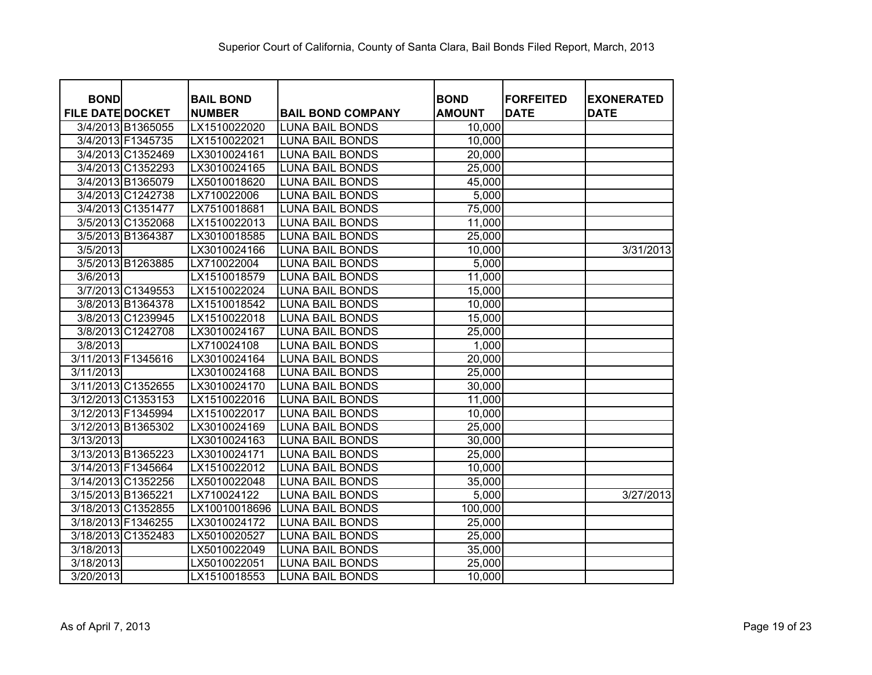| <b>BOND</b>             |                   | <b>BAIL BOND</b> |                          | <b>BOND</b>   | <b>FORFEITED</b> | <b>EXONERATED</b> |
|-------------------------|-------------------|------------------|--------------------------|---------------|------------------|-------------------|
| <b>FILE DATE DOCKET</b> |                   | <b>NUMBER</b>    | <b>BAIL BOND COMPANY</b> | <b>AMOUNT</b> | <b>DATE</b>      | <b>DATE</b>       |
| 3/4/2013 B1365055       |                   | LX1510022020     | <b>LUNA BAIL BONDS</b>   | 10,000        |                  |                   |
| 3/4/2013 F1345735       |                   | LX1510022021     | <b>LUNA BAIL BONDS</b>   | 10,000        |                  |                   |
| 3/4/2013 C1352469       |                   | LX3010024161     | <b>LUNA BAIL BONDS</b>   | 20,000        |                  |                   |
|                         | 3/4/2013 C1352293 | LX3010024165     | <b>LUNA BAIL BONDS</b>   | 25,000        |                  |                   |
| 3/4/2013 B1365079       |                   | LX5010018620     | <b>LUNA BAIL BONDS</b>   | 45,000        |                  |                   |
| 3/4/2013 C1242738       |                   | LX710022006      | <b>LUNA BAIL BONDS</b>   | 5,000         |                  |                   |
| 3/4/2013 C1351477       |                   | LX7510018681     | <b>LUNA BAIL BONDS</b>   | 75,000        |                  |                   |
| 3/5/2013 C1352068       |                   | LX1510022013     | <b>LUNA BAIL BONDS</b>   | 11,000        |                  |                   |
| 3/5/2013 B1364387       |                   | LX3010018585     | <b>LUNA BAIL BONDS</b>   | 25,000        |                  |                   |
| 3/5/2013                |                   | LX3010024166     | <b>LUNA BAIL BONDS</b>   | 10,000        |                  | 3/31/2013         |
| 3/5/2013 B1263885       |                   | LX710022004      | <b>LUNA BAIL BONDS</b>   | 5,000         |                  |                   |
| 3/6/2013                |                   | LX1510018579     | <b>LUNA BAIL BONDS</b>   | 11,000        |                  |                   |
| 3/7/2013 C1349553       |                   | LX1510022024     | <b>LUNA BAIL BONDS</b>   | 15,000        |                  |                   |
| 3/8/2013 B1364378       |                   | LX1510018542     | <b>LUNA BAIL BONDS</b>   | 10,000        |                  |                   |
| 3/8/2013 C1239945       |                   | LX1510022018     | <b>LUNA BAIL BONDS</b>   | 15,000        |                  |                   |
| 3/8/2013 C1242708       |                   | LX3010024167     | <b>LUNA BAIL BONDS</b>   | 25,000        |                  |                   |
| 3/8/2013                |                   | LX710024108      | <b>LUNA BAIL BONDS</b>   | 1,000         |                  |                   |
| 3/11/2013 F1345616      |                   | LX3010024164     | <b>LUNA BAIL BONDS</b>   | 20,000        |                  |                   |
| 3/11/2013               |                   | LX3010024168     | <b>LUNA BAIL BONDS</b>   | 25,000        |                  |                   |
| 3/11/2013 C1352655      |                   | LX3010024170     | <b>LUNA BAIL BONDS</b>   | 30,000        |                  |                   |
| 3/12/2013 C1353153      |                   | LX1510022016     | <b>LUNA BAIL BONDS</b>   | 11,000        |                  |                   |
| 3/12/2013 F1345994      |                   | LX1510022017     | <b>LUNA BAIL BONDS</b>   | 10,000        |                  |                   |
| 3/12/2013 B1365302      |                   | LX3010024169     | <b>LUNA BAIL BONDS</b>   | 25,000        |                  |                   |
| 3/13/2013               |                   | LX3010024163     | <b>LUNA BAIL BONDS</b>   | 30,000        |                  |                   |
| 3/13/2013 B1365223      |                   | LX3010024171     | <b>LUNA BAIL BONDS</b>   | 25,000        |                  |                   |
| 3/14/2013 F1345664      |                   | LX1510022012     | <b>LUNA BAIL BONDS</b>   | 10,000        |                  |                   |
| 3/14/2013 C1352256      |                   | LX5010022048     | <b>LUNA BAIL BONDS</b>   | 35,000        |                  |                   |
| 3/15/2013 B1365221      |                   | LX710024122      | <b>LUNA BAIL BONDS</b>   | 5,000         |                  | 3/27/2013         |
| 3/18/2013 C1352855      |                   | LX10010018696    | <b>LUNA BAIL BONDS</b>   | 100,000       |                  |                   |
| 3/18/2013 F1346255      |                   | LX3010024172     | <b>LUNA BAIL BONDS</b>   | 25,000        |                  |                   |
| 3/18/2013 C1352483      |                   | LX5010020527     | <b>LUNA BAIL BONDS</b>   | 25,000        |                  |                   |
| 3/18/2013               |                   | LX5010022049     | <b>LUNA BAIL BONDS</b>   | 35,000        |                  |                   |
| 3/18/2013               |                   | LX5010022051     | <b>LUNA BAIL BONDS</b>   | 25,000        |                  |                   |
| 3/20/2013               |                   | LX1510018553     | <b>LUNA BAIL BONDS</b>   | 10,000        |                  |                   |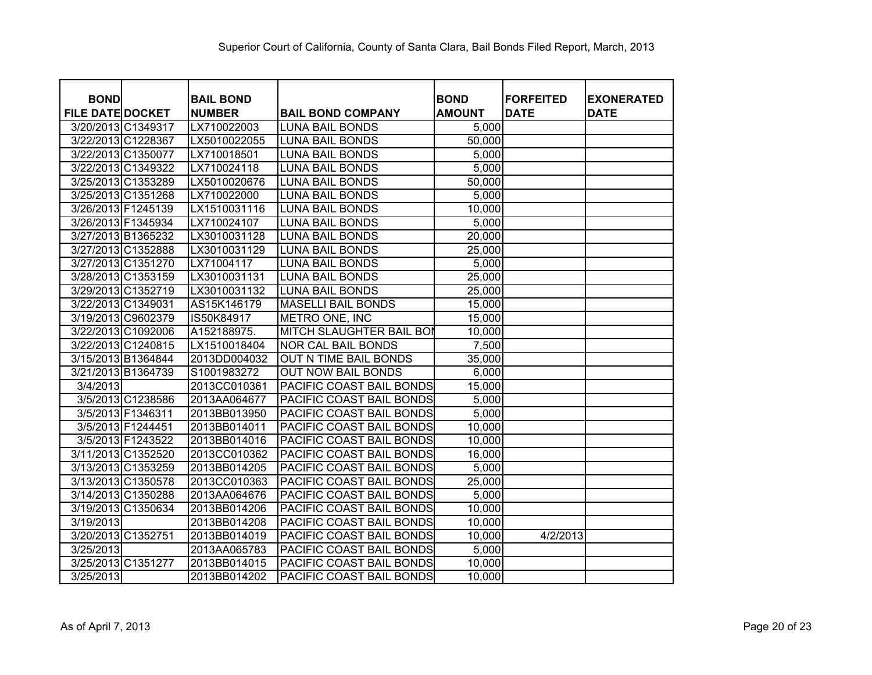| <b>BOND</b>             |                    | <b>BAIL BOND</b> |                           | <b>BOND</b>   | <b>IFORFEITED</b> | <b>EXONERATED</b> |
|-------------------------|--------------------|------------------|---------------------------|---------------|-------------------|-------------------|
| <b>FILE DATE DOCKET</b> |                    | <b>NUMBER</b>    | <b>BAIL BOND COMPANY</b>  | <b>AMOUNT</b> | <b>DATE</b>       | <b>DATE</b>       |
| 3/20/2013 C1349317      |                    | LX710022003      | <b>LUNA BAIL BONDS</b>    | 5,000         |                   |                   |
|                         | 3/22/2013 C1228367 | LX5010022055     | <b>LUNA BAIL BONDS</b>    | 50,000        |                   |                   |
|                         | 3/22/2013 C1350077 | LX710018501      | <b>LUNA BAIL BONDS</b>    | 5,000         |                   |                   |
|                         | 3/22/2013 C1349322 | LX710024118      | <b>LUNA BAIL BONDS</b>    | 5,000         |                   |                   |
|                         | 3/25/2013 C1353289 | LX5010020676     | <b>LUNA BAIL BONDS</b>    | 50,000        |                   |                   |
|                         | 3/25/2013 C1351268 | LX710022000      | <b>LUNA BAIL BONDS</b>    | 5,000         |                   |                   |
| 3/26/2013 F1245139      |                    | LX1510031116     | <b>LUNA BAIL BONDS</b>    | 10,000        |                   |                   |
| 3/26/2013 F1345934      |                    | LX710024107      | <b>LUNA BAIL BONDS</b>    | 5,000         |                   |                   |
| 3/27/2013 B1365232      |                    | LX3010031128     | <b>LUNA BAIL BONDS</b>    | 20,000        |                   |                   |
|                         | 3/27/2013 C1352888 | LX3010031129     | <b>LUNA BAIL BONDS</b>    | 25,000        |                   |                   |
|                         | 3/27/2013 C1351270 | LX71004117       | <b>LUNA BAIL BONDS</b>    | 5,000         |                   |                   |
|                         | 3/28/2013 C1353159 | LX3010031131     | <b>LUNA BAIL BONDS</b>    | 25,000        |                   |                   |
|                         | 3/29/2013 C1352719 | LX3010031132     | <b>LUNA BAIL BONDS</b>    | 25,000        |                   |                   |
| 3/22/2013 C1349031      |                    | AS15K146179      | <b>MASELLI BAIL BONDS</b> | 15,000        |                   |                   |
|                         | 3/19/2013 C9602379 | IS50K84917       | METRO ONE, INC            | 15,000        |                   |                   |
|                         | 3/22/2013 C1092006 | A152188975.      | MITCH SLAUGHTER BAIL BOI  | 10,000        |                   |                   |
|                         | 3/22/2013 C1240815 | LX1510018404     | <b>NOR CAL BAIL BONDS</b> | 7,500         |                   |                   |
|                         | 3/15/2013 B1364844 | 2013DD004032     | OUT N TIME BAIL BONDS     | 35,000        |                   |                   |
| 3/21/2013 B1364739      |                    | S1001983272      | <b>OUT NOW BAIL BONDS</b> | 6,000         |                   |                   |
| 3/4/2013                |                    | 2013CC010361     | PACIFIC COAST BAIL BONDS  | 15,000        |                   |                   |
|                         | 3/5/2013 C1238586  | 2013AA064677     | PACIFIC COAST BAIL BONDS  | 5,000         |                   |                   |
|                         | 3/5/2013 F1346311  | 2013BB013950     | PACIFIC COAST BAIL BONDS  | 5,000         |                   |                   |
|                         | 3/5/2013 F1244451  | 2013BB014011     | PACIFIC COAST BAIL BONDS  | 10,000        |                   |                   |
|                         | 3/5/2013 F1243522  | 2013BB014016     | PACIFIC COAST BAIL BONDS  | 10,000        |                   |                   |
|                         | 3/11/2013 C1352520 | 2013CC010362     | PACIFIC COAST BAIL BONDS  | 16,000        |                   |                   |
|                         | 3/13/2013 C1353259 | 2013BB014205     | PACIFIC COAST BAIL BONDS  | 5,000         |                   |                   |
|                         | 3/13/2013 C1350578 | 2013CC010363     | PACIFIC COAST BAIL BONDS  | 25,000        |                   |                   |
|                         | 3/14/2013 C1350288 | 2013AA064676     | PACIFIC COAST BAIL BONDS  | 5,000         |                   |                   |
|                         | 3/19/2013 C1350634 | 2013BB014206     | PACIFIC COAST BAIL BONDS  | 10,000        |                   |                   |
| 3/19/2013               |                    | 2013BB014208     | PACIFIC COAST BAIL BONDS  | 10,000        |                   |                   |
| 3/20/2013 C1352751      |                    | 2013BB014019     | PACIFIC COAST BAIL BONDS  | 10,000        | 4/2/2013          |                   |
| 3/25/2013               |                    | 2013AA065783     | PACIFIC COAST BAIL BONDS  | 5,000         |                   |                   |
| 3/25/2013 C1351277      |                    | 2013BB014015     | PACIFIC COAST BAIL BONDS  | 10,000        |                   |                   |
| 3/25/2013               |                    | 2013BB014202     | PACIFIC COAST BAIL BONDS  | 10,000        |                   |                   |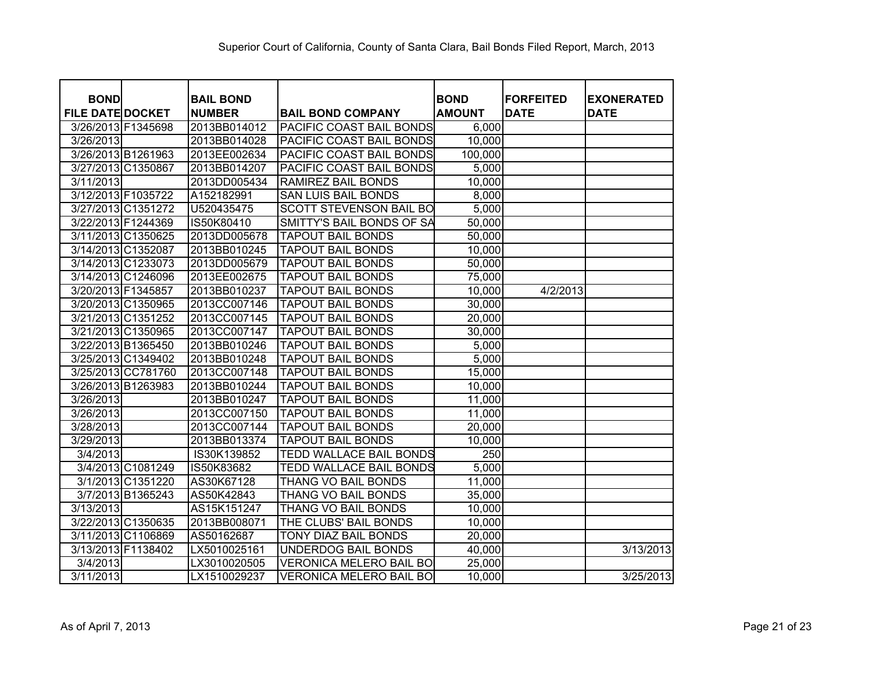| <b>BOND</b><br><b>BOND</b><br><b>FORFEITED</b><br><b>BAIL BOND</b><br><b>FILE DATE DOCKET</b><br><b>NUMBER</b><br><b>AMOUNT</b><br><b>DATE</b><br><b>DATE</b><br><b>BAIL BOND COMPANY</b><br>3/26/2013 F1345698<br>2013BB014012<br>PACIFIC COAST BAIL BONDS<br>6,000<br>10,000<br>3/26/2013<br>2013BB014028<br>PACIFIC COAST BAIL BONDS<br>3/26/2013 B1261963<br>100,000<br>2013EE002634<br>PACIFIC COAST BAIL BONDS<br>5,000<br>3/27/2013 C1350867<br>2013BB014207<br>PACIFIC COAST BAIL BONDS<br>10,000<br>3/11/2013<br>2013DD005434<br><b>RAMIREZ BAIL BONDS</b><br>3/12/2013 F1035722<br>A152182991<br><b>SAN LUIS BAIL BONDS</b><br>8,000<br>3/27/2013 C1351272<br>5,000<br>U520435475<br><b>SCOTT STEVENSON BAIL BO</b><br>3/22/2013 F1244369<br>SMITTY'S BAIL BONDS OF SA<br>50,000<br>IS50K80410<br>3/11/2013 C1350625<br>50,000<br>2013DD005678<br><b>TAPOUT BAIL BONDS</b><br>10,000<br>3/14/2013 C1352087<br>2013BB010245<br><b>TAPOUT BAIL BONDS</b><br>3/14/2013 C1233073<br>2013DD005679<br><b>TAPOUT BAIL BONDS</b><br>50,000<br>75,000<br>3/14/2013 C1246096<br>2013EE002675<br><b>TAPOUT BAIL BONDS</b><br>3/20/2013 F1345857<br>2013BB010237<br><b>TAPOUT BAIL BONDS</b><br>10,000<br>4/2/2013<br>30,000<br>3/20/2013 C1350965<br>2013CC007146<br><b>TAPOUT BAIL BONDS</b><br>3/21/2013 C1351252<br>2013CC007145<br><b>TAPOUT BAIL BONDS</b><br>20,000<br>3/21/2013 C1350965<br>2013CC007147<br><b>TAPOUT BAIL BONDS</b><br>30,000<br>5,000<br>3/22/2013 B1365450<br>2013BB010246<br><b>TAPOUT BAIL BONDS</b><br>5,000<br>3/25/2013 C1349402<br><b>TAPOUT BAIL BONDS</b><br>2013BB010248<br>15,000<br>3/25/2013 CC781760<br>2013CC007148<br><b>TAPOUT BAIL BONDS</b><br>3/26/2013 B1263983<br><b>TAPOUT BAIL BONDS</b><br>10,000<br>2013BB010244<br>11,000<br>3/26/2013<br>2013BB010247<br><b>TAPOUT BAIL BONDS</b><br>2013CC007150<br>11,000<br>3/26/2013<br><b>TAPOUT BAIL BONDS</b><br>2013CC007144<br>20,000<br>3/28/2013<br><b>TAPOUT BAIL BONDS</b><br>10,000<br>3/29/2013<br>2013BB013374<br><b>TAPOUT BAIL BONDS</b><br>250<br>3/4/2013<br>IS30K139852<br>TEDD WALLACE BAIL BONDS<br>3/4/2013 C1081249<br>5,000<br>IS50K83682<br><b>TEDD WALLACE BAIL BONDS</b><br>11,000<br>3/1/2013 C1351220<br>AS30K67128<br>THANG VO BAIL BONDS<br>35,000<br>3/7/2013 B1365243<br>AS50K42843<br>THANG VO BAIL BONDS<br>10,000<br>3/13/2013<br>AS15K151247<br>THANG VO BAIL BONDS<br>3/22/2013 C1350635<br>THE CLUBS' BAIL BONDS<br>10,000<br>2013BB008071<br>3/11/2013 C1106869<br>AS50162687<br>TONY DIAZ BAIL BONDS<br>20,000<br>40,000<br>3/13/2013 F1138402<br>LX5010025161<br>UNDERDOG BAIL BONDS |          |              |                                |        |                   |
|----------------------------------------------------------------------------------------------------------------------------------------------------------------------------------------------------------------------------------------------------------------------------------------------------------------------------------------------------------------------------------------------------------------------------------------------------------------------------------------------------------------------------------------------------------------------------------------------------------------------------------------------------------------------------------------------------------------------------------------------------------------------------------------------------------------------------------------------------------------------------------------------------------------------------------------------------------------------------------------------------------------------------------------------------------------------------------------------------------------------------------------------------------------------------------------------------------------------------------------------------------------------------------------------------------------------------------------------------------------------------------------------------------------------------------------------------------------------------------------------------------------------------------------------------------------------------------------------------------------------------------------------------------------------------------------------------------------------------------------------------------------------------------------------------------------------------------------------------------------------------------------------------------------------------------------------------------------------------------------------------------------------------------------------------------------------------------------------------------------------------------------------------------------------------------------------------------------------------------------------------------------------------------------------------------------------------------------------------------------------------------------------------------------------------------------------------------------------------------------------------------------------------------------------------------------------------------------------------------------------|----------|--------------|--------------------------------|--------|-------------------|
|                                                                                                                                                                                                                                                                                                                                                                                                                                                                                                                                                                                                                                                                                                                                                                                                                                                                                                                                                                                                                                                                                                                                                                                                                                                                                                                                                                                                                                                                                                                                                                                                                                                                                                                                                                                                                                                                                                                                                                                                                                                                                                                                                                                                                                                                                                                                                                                                                                                                                                                                                                                                                      |          |              |                                |        | <b>EXONERATED</b> |
|                                                                                                                                                                                                                                                                                                                                                                                                                                                                                                                                                                                                                                                                                                                                                                                                                                                                                                                                                                                                                                                                                                                                                                                                                                                                                                                                                                                                                                                                                                                                                                                                                                                                                                                                                                                                                                                                                                                                                                                                                                                                                                                                                                                                                                                                                                                                                                                                                                                                                                                                                                                                                      |          |              |                                |        |                   |
|                                                                                                                                                                                                                                                                                                                                                                                                                                                                                                                                                                                                                                                                                                                                                                                                                                                                                                                                                                                                                                                                                                                                                                                                                                                                                                                                                                                                                                                                                                                                                                                                                                                                                                                                                                                                                                                                                                                                                                                                                                                                                                                                                                                                                                                                                                                                                                                                                                                                                                                                                                                                                      |          |              |                                |        |                   |
|                                                                                                                                                                                                                                                                                                                                                                                                                                                                                                                                                                                                                                                                                                                                                                                                                                                                                                                                                                                                                                                                                                                                                                                                                                                                                                                                                                                                                                                                                                                                                                                                                                                                                                                                                                                                                                                                                                                                                                                                                                                                                                                                                                                                                                                                                                                                                                                                                                                                                                                                                                                                                      |          |              |                                |        |                   |
|                                                                                                                                                                                                                                                                                                                                                                                                                                                                                                                                                                                                                                                                                                                                                                                                                                                                                                                                                                                                                                                                                                                                                                                                                                                                                                                                                                                                                                                                                                                                                                                                                                                                                                                                                                                                                                                                                                                                                                                                                                                                                                                                                                                                                                                                                                                                                                                                                                                                                                                                                                                                                      |          |              |                                |        |                   |
|                                                                                                                                                                                                                                                                                                                                                                                                                                                                                                                                                                                                                                                                                                                                                                                                                                                                                                                                                                                                                                                                                                                                                                                                                                                                                                                                                                                                                                                                                                                                                                                                                                                                                                                                                                                                                                                                                                                                                                                                                                                                                                                                                                                                                                                                                                                                                                                                                                                                                                                                                                                                                      |          |              |                                |        |                   |
|                                                                                                                                                                                                                                                                                                                                                                                                                                                                                                                                                                                                                                                                                                                                                                                                                                                                                                                                                                                                                                                                                                                                                                                                                                                                                                                                                                                                                                                                                                                                                                                                                                                                                                                                                                                                                                                                                                                                                                                                                                                                                                                                                                                                                                                                                                                                                                                                                                                                                                                                                                                                                      |          |              |                                |        |                   |
|                                                                                                                                                                                                                                                                                                                                                                                                                                                                                                                                                                                                                                                                                                                                                                                                                                                                                                                                                                                                                                                                                                                                                                                                                                                                                                                                                                                                                                                                                                                                                                                                                                                                                                                                                                                                                                                                                                                                                                                                                                                                                                                                                                                                                                                                                                                                                                                                                                                                                                                                                                                                                      |          |              |                                |        |                   |
|                                                                                                                                                                                                                                                                                                                                                                                                                                                                                                                                                                                                                                                                                                                                                                                                                                                                                                                                                                                                                                                                                                                                                                                                                                                                                                                                                                                                                                                                                                                                                                                                                                                                                                                                                                                                                                                                                                                                                                                                                                                                                                                                                                                                                                                                                                                                                                                                                                                                                                                                                                                                                      |          |              |                                |        |                   |
|                                                                                                                                                                                                                                                                                                                                                                                                                                                                                                                                                                                                                                                                                                                                                                                                                                                                                                                                                                                                                                                                                                                                                                                                                                                                                                                                                                                                                                                                                                                                                                                                                                                                                                                                                                                                                                                                                                                                                                                                                                                                                                                                                                                                                                                                                                                                                                                                                                                                                                                                                                                                                      |          |              |                                |        |                   |
|                                                                                                                                                                                                                                                                                                                                                                                                                                                                                                                                                                                                                                                                                                                                                                                                                                                                                                                                                                                                                                                                                                                                                                                                                                                                                                                                                                                                                                                                                                                                                                                                                                                                                                                                                                                                                                                                                                                                                                                                                                                                                                                                                                                                                                                                                                                                                                                                                                                                                                                                                                                                                      |          |              |                                |        |                   |
|                                                                                                                                                                                                                                                                                                                                                                                                                                                                                                                                                                                                                                                                                                                                                                                                                                                                                                                                                                                                                                                                                                                                                                                                                                                                                                                                                                                                                                                                                                                                                                                                                                                                                                                                                                                                                                                                                                                                                                                                                                                                                                                                                                                                                                                                                                                                                                                                                                                                                                                                                                                                                      |          |              |                                |        |                   |
|                                                                                                                                                                                                                                                                                                                                                                                                                                                                                                                                                                                                                                                                                                                                                                                                                                                                                                                                                                                                                                                                                                                                                                                                                                                                                                                                                                                                                                                                                                                                                                                                                                                                                                                                                                                                                                                                                                                                                                                                                                                                                                                                                                                                                                                                                                                                                                                                                                                                                                                                                                                                                      |          |              |                                |        |                   |
|                                                                                                                                                                                                                                                                                                                                                                                                                                                                                                                                                                                                                                                                                                                                                                                                                                                                                                                                                                                                                                                                                                                                                                                                                                                                                                                                                                                                                                                                                                                                                                                                                                                                                                                                                                                                                                                                                                                                                                                                                                                                                                                                                                                                                                                                                                                                                                                                                                                                                                                                                                                                                      |          |              |                                |        |                   |
|                                                                                                                                                                                                                                                                                                                                                                                                                                                                                                                                                                                                                                                                                                                                                                                                                                                                                                                                                                                                                                                                                                                                                                                                                                                                                                                                                                                                                                                                                                                                                                                                                                                                                                                                                                                                                                                                                                                                                                                                                                                                                                                                                                                                                                                                                                                                                                                                                                                                                                                                                                                                                      |          |              |                                |        |                   |
|                                                                                                                                                                                                                                                                                                                                                                                                                                                                                                                                                                                                                                                                                                                                                                                                                                                                                                                                                                                                                                                                                                                                                                                                                                                                                                                                                                                                                                                                                                                                                                                                                                                                                                                                                                                                                                                                                                                                                                                                                                                                                                                                                                                                                                                                                                                                                                                                                                                                                                                                                                                                                      |          |              |                                |        |                   |
|                                                                                                                                                                                                                                                                                                                                                                                                                                                                                                                                                                                                                                                                                                                                                                                                                                                                                                                                                                                                                                                                                                                                                                                                                                                                                                                                                                                                                                                                                                                                                                                                                                                                                                                                                                                                                                                                                                                                                                                                                                                                                                                                                                                                                                                                                                                                                                                                                                                                                                                                                                                                                      |          |              |                                |        |                   |
|                                                                                                                                                                                                                                                                                                                                                                                                                                                                                                                                                                                                                                                                                                                                                                                                                                                                                                                                                                                                                                                                                                                                                                                                                                                                                                                                                                                                                                                                                                                                                                                                                                                                                                                                                                                                                                                                                                                                                                                                                                                                                                                                                                                                                                                                                                                                                                                                                                                                                                                                                                                                                      |          |              |                                |        |                   |
|                                                                                                                                                                                                                                                                                                                                                                                                                                                                                                                                                                                                                                                                                                                                                                                                                                                                                                                                                                                                                                                                                                                                                                                                                                                                                                                                                                                                                                                                                                                                                                                                                                                                                                                                                                                                                                                                                                                                                                                                                                                                                                                                                                                                                                                                                                                                                                                                                                                                                                                                                                                                                      |          |              |                                |        |                   |
|                                                                                                                                                                                                                                                                                                                                                                                                                                                                                                                                                                                                                                                                                                                                                                                                                                                                                                                                                                                                                                                                                                                                                                                                                                                                                                                                                                                                                                                                                                                                                                                                                                                                                                                                                                                                                                                                                                                                                                                                                                                                                                                                                                                                                                                                                                                                                                                                                                                                                                                                                                                                                      |          |              |                                |        |                   |
|                                                                                                                                                                                                                                                                                                                                                                                                                                                                                                                                                                                                                                                                                                                                                                                                                                                                                                                                                                                                                                                                                                                                                                                                                                                                                                                                                                                                                                                                                                                                                                                                                                                                                                                                                                                                                                                                                                                                                                                                                                                                                                                                                                                                                                                                                                                                                                                                                                                                                                                                                                                                                      |          |              |                                |        |                   |
|                                                                                                                                                                                                                                                                                                                                                                                                                                                                                                                                                                                                                                                                                                                                                                                                                                                                                                                                                                                                                                                                                                                                                                                                                                                                                                                                                                                                                                                                                                                                                                                                                                                                                                                                                                                                                                                                                                                                                                                                                                                                                                                                                                                                                                                                                                                                                                                                                                                                                                                                                                                                                      |          |              |                                |        |                   |
|                                                                                                                                                                                                                                                                                                                                                                                                                                                                                                                                                                                                                                                                                                                                                                                                                                                                                                                                                                                                                                                                                                                                                                                                                                                                                                                                                                                                                                                                                                                                                                                                                                                                                                                                                                                                                                                                                                                                                                                                                                                                                                                                                                                                                                                                                                                                                                                                                                                                                                                                                                                                                      |          |              |                                |        |                   |
|                                                                                                                                                                                                                                                                                                                                                                                                                                                                                                                                                                                                                                                                                                                                                                                                                                                                                                                                                                                                                                                                                                                                                                                                                                                                                                                                                                                                                                                                                                                                                                                                                                                                                                                                                                                                                                                                                                                                                                                                                                                                                                                                                                                                                                                                                                                                                                                                                                                                                                                                                                                                                      |          |              |                                |        |                   |
|                                                                                                                                                                                                                                                                                                                                                                                                                                                                                                                                                                                                                                                                                                                                                                                                                                                                                                                                                                                                                                                                                                                                                                                                                                                                                                                                                                                                                                                                                                                                                                                                                                                                                                                                                                                                                                                                                                                                                                                                                                                                                                                                                                                                                                                                                                                                                                                                                                                                                                                                                                                                                      |          |              |                                |        |                   |
|                                                                                                                                                                                                                                                                                                                                                                                                                                                                                                                                                                                                                                                                                                                                                                                                                                                                                                                                                                                                                                                                                                                                                                                                                                                                                                                                                                                                                                                                                                                                                                                                                                                                                                                                                                                                                                                                                                                                                                                                                                                                                                                                                                                                                                                                                                                                                                                                                                                                                                                                                                                                                      |          |              |                                |        |                   |
|                                                                                                                                                                                                                                                                                                                                                                                                                                                                                                                                                                                                                                                                                                                                                                                                                                                                                                                                                                                                                                                                                                                                                                                                                                                                                                                                                                                                                                                                                                                                                                                                                                                                                                                                                                                                                                                                                                                                                                                                                                                                                                                                                                                                                                                                                                                                                                                                                                                                                                                                                                                                                      |          |              |                                |        |                   |
|                                                                                                                                                                                                                                                                                                                                                                                                                                                                                                                                                                                                                                                                                                                                                                                                                                                                                                                                                                                                                                                                                                                                                                                                                                                                                                                                                                                                                                                                                                                                                                                                                                                                                                                                                                                                                                                                                                                                                                                                                                                                                                                                                                                                                                                                                                                                                                                                                                                                                                                                                                                                                      |          |              |                                |        |                   |
|                                                                                                                                                                                                                                                                                                                                                                                                                                                                                                                                                                                                                                                                                                                                                                                                                                                                                                                                                                                                                                                                                                                                                                                                                                                                                                                                                                                                                                                                                                                                                                                                                                                                                                                                                                                                                                                                                                                                                                                                                                                                                                                                                                                                                                                                                                                                                                                                                                                                                                                                                                                                                      |          |              |                                |        |                   |
|                                                                                                                                                                                                                                                                                                                                                                                                                                                                                                                                                                                                                                                                                                                                                                                                                                                                                                                                                                                                                                                                                                                                                                                                                                                                                                                                                                                                                                                                                                                                                                                                                                                                                                                                                                                                                                                                                                                                                                                                                                                                                                                                                                                                                                                                                                                                                                                                                                                                                                                                                                                                                      |          |              |                                |        |                   |
|                                                                                                                                                                                                                                                                                                                                                                                                                                                                                                                                                                                                                                                                                                                                                                                                                                                                                                                                                                                                                                                                                                                                                                                                                                                                                                                                                                                                                                                                                                                                                                                                                                                                                                                                                                                                                                                                                                                                                                                                                                                                                                                                                                                                                                                                                                                                                                                                                                                                                                                                                                                                                      |          |              |                                |        |                   |
|                                                                                                                                                                                                                                                                                                                                                                                                                                                                                                                                                                                                                                                                                                                                                                                                                                                                                                                                                                                                                                                                                                                                                                                                                                                                                                                                                                                                                                                                                                                                                                                                                                                                                                                                                                                                                                                                                                                                                                                                                                                                                                                                                                                                                                                                                                                                                                                                                                                                                                                                                                                                                      |          |              |                                |        |                   |
|                                                                                                                                                                                                                                                                                                                                                                                                                                                                                                                                                                                                                                                                                                                                                                                                                                                                                                                                                                                                                                                                                                                                                                                                                                                                                                                                                                                                                                                                                                                                                                                                                                                                                                                                                                                                                                                                                                                                                                                                                                                                                                                                                                                                                                                                                                                                                                                                                                                                                                                                                                                                                      |          |              |                                |        | 3/13/2013         |
|                                                                                                                                                                                                                                                                                                                                                                                                                                                                                                                                                                                                                                                                                                                                                                                                                                                                                                                                                                                                                                                                                                                                                                                                                                                                                                                                                                                                                                                                                                                                                                                                                                                                                                                                                                                                                                                                                                                                                                                                                                                                                                                                                                                                                                                                                                                                                                                                                                                                                                                                                                                                                      | 3/4/2013 | LX3010020505 | <b>VERONICA MELERO BAIL BO</b> | 25,000 |                   |
| 3/11/2013<br>LX1510029237<br>10,000<br><b>VERONICA MELERO BAIL BO</b>                                                                                                                                                                                                                                                                                                                                                                                                                                                                                                                                                                                                                                                                                                                                                                                                                                                                                                                                                                                                                                                                                                                                                                                                                                                                                                                                                                                                                                                                                                                                                                                                                                                                                                                                                                                                                                                                                                                                                                                                                                                                                                                                                                                                                                                                                                                                                                                                                                                                                                                                                |          |              |                                |        | 3/25/2013         |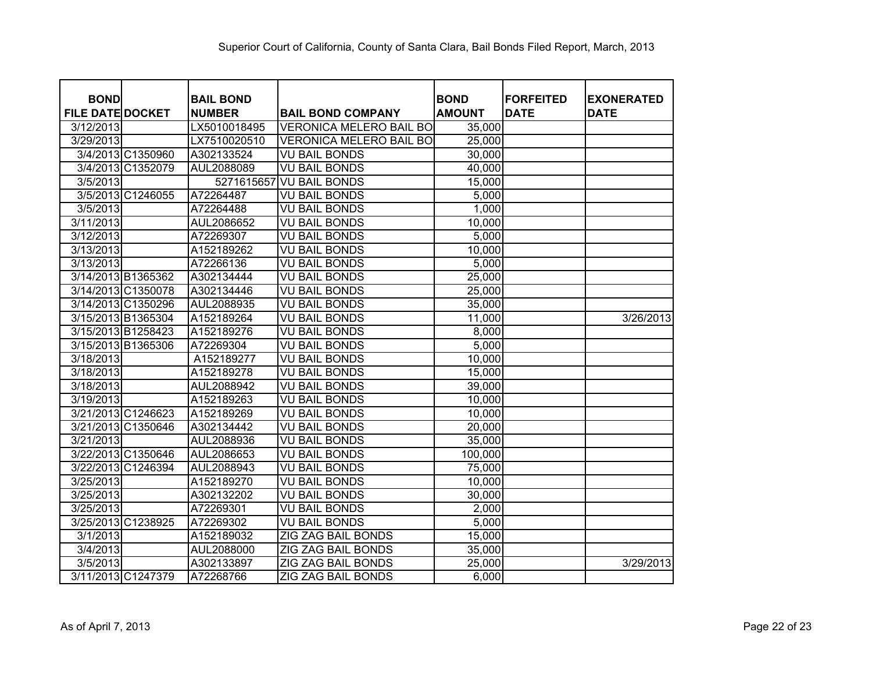| <b>BOND</b>             | <b>BAIL BOND</b> |                                | <b>BOND</b>   | <b>FORFEITED</b> | <b>EXONERATED</b> |
|-------------------------|------------------|--------------------------------|---------------|------------------|-------------------|
| <b>FILE DATE DOCKET</b> | <b>NUMBER</b>    | <b>BAIL BOND COMPANY</b>       | <b>AMOUNT</b> | <b>DATE</b>      | <b>DATE</b>       |
| 3/12/2013               | LX5010018495     | <b>VERONICA MELERO BAIL BO</b> | 35,000        |                  |                   |
| 3/29/2013               | LX7510020510     | <b>VERONICA MELERO BAIL BO</b> | 25,000        |                  |                   |
| 3/4/2013 C1350960       | A302133524       | <b>VU BAIL BONDS</b>           | 30,000        |                  |                   |
| 3/4/2013 C1352079       | AUL2088089       | <b>VU BAIL BONDS</b>           | 40,000        |                  |                   |
| 3/5/2013                | 5271615657       | <b>VU BAIL BONDS</b>           | 15,000        |                  |                   |
| 3/5/2013 C1246055       | A72264487        | <b>VU BAIL BONDS</b>           | 5,000         |                  |                   |
| 3/5/2013                | A72264488        | <b>VU BAIL BONDS</b>           | 1,000         |                  |                   |
| 3/11/2013               | AUL2086652       | <b>VU BAIL BONDS</b>           | 10,000        |                  |                   |
| 3/12/2013               | A72269307        | <b>VU BAIL BONDS</b>           | 5,000         |                  |                   |
| 3/13/2013               | A152189262       | <b>VU BAIL BONDS</b>           | 10,000        |                  |                   |
| 3/13/2013               | A72266136        | <b>VU BAIL BONDS</b>           | 5,000         |                  |                   |
| 3/14/2013 B1365362      | A302134444       | <b>VU BAIL BONDS</b>           | 25,000        |                  |                   |
| 3/14/2013 C1350078      | A302134446       | <b>VU BAIL BONDS</b>           | 25,000        |                  |                   |
| 3/14/2013 C1350296      | AUL2088935       | <b>VU BAIL BONDS</b>           | 35,000        |                  |                   |
| 3/15/2013 B1365304      | A152189264       | <b>VU BAIL BONDS</b>           | 11,000        |                  | 3/26/2013         |
| 3/15/2013 B1258423      | A152189276       | <b>VU BAIL BONDS</b>           | 8,000         |                  |                   |
| 3/15/2013 B1365306      | A72269304        | <b>VU BAIL BONDS</b>           | 5,000         |                  |                   |
| 3/18/2013               | A152189277       | <b>VU BAIL BONDS</b>           | 10,000        |                  |                   |
| 3/18/2013               | A152189278       | <b>VU BAIL BONDS</b>           | 15,000        |                  |                   |
| 3/18/2013               | AUL2088942       | <b>VU BAIL BONDS</b>           | 39,000        |                  |                   |
| 3/19/2013               | A152189263       | <b>VU BAIL BONDS</b>           | 10,000        |                  |                   |
| 3/21/2013 C1246623      | A152189269       | <b>VU BAIL BONDS</b>           | 10,000        |                  |                   |
| 3/21/2013 C1350646      | A302134442       | <b>VU BAIL BONDS</b>           | 20,000        |                  |                   |
| 3/21/2013               | AUL2088936       | <b>VU BAIL BONDS</b>           | 35,000        |                  |                   |
| 3/22/2013 C1350646      | AUL2086653       | <b>VU BAIL BONDS</b>           | 100,000       |                  |                   |
| 3/22/2013 C1246394      | AUL2088943       | <b>VU BAIL BONDS</b>           | 75,000        |                  |                   |
| 3/25/2013               | A152189270       | <b>VU BAIL BONDS</b>           | 10,000        |                  |                   |
| 3/25/2013               | A302132202       | <b>VU BAIL BONDS</b>           | 30,000        |                  |                   |
| 3/25/2013               | A72269301        | <b>VU BAIL BONDS</b>           | 2,000         |                  |                   |
| 3/25/2013 C1238925      | A72269302        | <b>VU BAIL BONDS</b>           | 5,000         |                  |                   |
| 3/1/2013                | A152189032       | ZIG ZAG BAIL BONDS             | 15,000        |                  |                   |
| 3/4/2013                | AUL2088000       | ZIG ZAG BAIL BONDS             | 35,000        |                  |                   |
| 3/5/2013                | A302133897       | ZIG ZAG BAIL BONDS             | 25,000        |                  | 3/29/2013         |
| 3/11/2013 C1247379      | A72268766        | ZIG ZAG BAIL BONDS             | 6,000         |                  |                   |